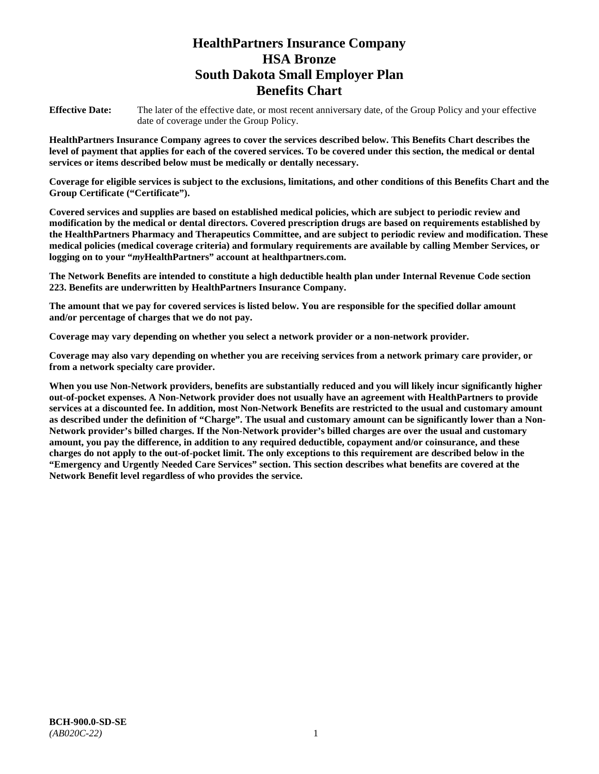# **HealthPartners Insurance Company HSA Bronze South Dakota Small Employer Plan Benefits Chart**

**Effective Date:** The later of the effective date, or most recent anniversary date, of the Group Policy and your effective date of coverage under the Group Policy.

**HealthPartners Insurance Company agrees to cover the services described below. This Benefits Chart describes the level of payment that applies for each of the covered services. To be covered under this section, the medical or dental services or items described below must be medically or dentally necessary.**

**Coverage for eligible services is subject to the exclusions, limitations, and other conditions of this Benefits Chart and the Group Certificate ("Certificate").**

**Covered services and supplies are based on established medical policies, which are subject to periodic review and modification by the medical or dental directors. Covered prescription drugs are based on requirements established by the HealthPartners Pharmacy and Therapeutics Committee, and are subject to periodic review and modification. These medical policies (medical coverage criteria) and formulary requirements are available by calling Member Services, or logging on to your "***my***HealthPartners" account at [healthpartners.com.](file://isntmacsrv0/www.healthpartners.com)**

**The Network Benefits are intended to constitute a high deductible health plan under Internal Revenue Code section 223. Benefits are underwritten by HealthPartners Insurance Company.**

**The amount that we pay for covered services is listed below. You are responsible for the specified dollar amount and/or percentage of charges that we do not pay.**

**Coverage may vary depending on whether you select a network provider or a non-network provider.**

**Coverage may also vary depending on whether you are receiving services from a network primary care provider, or from a network specialty care provider.**

**When you use Non-Network providers, benefits are substantially reduced and you will likely incur significantly higher out-of-pocket expenses. A Non-Network provider does not usually have an agreement with HealthPartners to provide services at a discounted fee. In addition, most Non-Network Benefits are restricted to the usual and customary amount as described under the definition of "Charge". The usual and customary amount can be significantly lower than a Non-Network provider's billed charges. If the Non-Network provider's billed charges are over the usual and customary amount, you pay the difference, in addition to any required deductible, copayment and/or coinsurance, and these charges do not apply to the out-of-pocket limit. The only exceptions to this requirement are described below in the "Emergency and Urgently Needed Care Services" section. This section describes what benefits are covered at the Network Benefit level regardless of who provides the service.**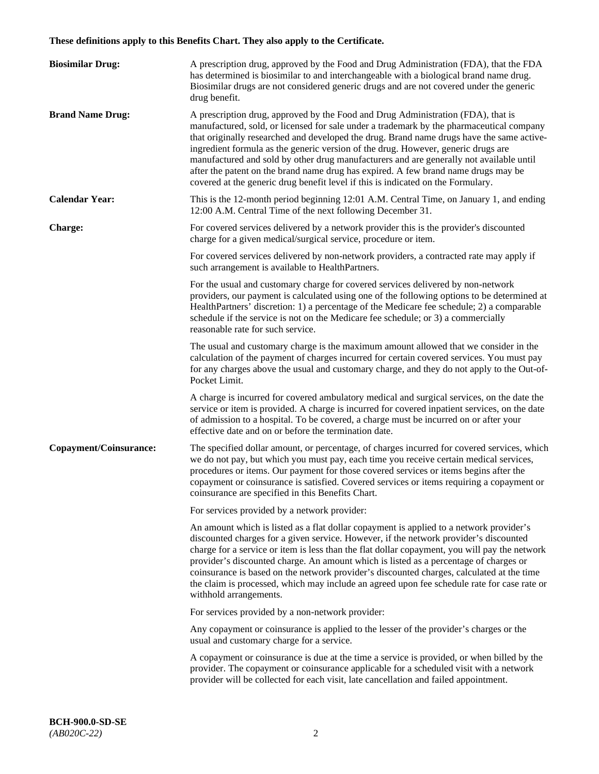# **These definitions apply to this Benefits Chart. They also apply to the Certificate.**

| <b>Biosimilar Drug:</b> | A prescription drug, approved by the Food and Drug Administration (FDA), that the FDA<br>has determined is biosimilar to and interchangeable with a biological brand name drug.<br>Biosimilar drugs are not considered generic drugs and are not covered under the generic<br>drug benefit.                                                                                                                                                                                                                                                                                                                                         |
|-------------------------|-------------------------------------------------------------------------------------------------------------------------------------------------------------------------------------------------------------------------------------------------------------------------------------------------------------------------------------------------------------------------------------------------------------------------------------------------------------------------------------------------------------------------------------------------------------------------------------------------------------------------------------|
| <b>Brand Name Drug:</b> | A prescription drug, approved by the Food and Drug Administration (FDA), that is<br>manufactured, sold, or licensed for sale under a trademark by the pharmaceutical company<br>that originally researched and developed the drug. Brand name drugs have the same active-<br>ingredient formula as the generic version of the drug. However, generic drugs are<br>manufactured and sold by other drug manufacturers and are generally not available until<br>after the patent on the brand name drug has expired. A few brand name drugs may be<br>covered at the generic drug benefit level if this is indicated on the Formulary. |
| <b>Calendar Year:</b>   | This is the 12-month period beginning 12:01 A.M. Central Time, on January 1, and ending<br>12:00 A.M. Central Time of the next following December 31.                                                                                                                                                                                                                                                                                                                                                                                                                                                                               |
| <b>Charge:</b>          | For covered services delivered by a network provider this is the provider's discounted<br>charge for a given medical/surgical service, procedure or item.                                                                                                                                                                                                                                                                                                                                                                                                                                                                           |
|                         | For covered services delivered by non-network providers, a contracted rate may apply if<br>such arrangement is available to HealthPartners.                                                                                                                                                                                                                                                                                                                                                                                                                                                                                         |
|                         | For the usual and customary charge for covered services delivered by non-network<br>providers, our payment is calculated using one of the following options to be determined at<br>HealthPartners' discretion: 1) a percentage of the Medicare fee schedule; 2) a comparable<br>schedule if the service is not on the Medicare fee schedule; or 3) a commercially<br>reasonable rate for such service.                                                                                                                                                                                                                              |
|                         | The usual and customary charge is the maximum amount allowed that we consider in the<br>calculation of the payment of charges incurred for certain covered services. You must pay<br>for any charges above the usual and customary charge, and they do not apply to the Out-of-<br>Pocket Limit.                                                                                                                                                                                                                                                                                                                                    |
|                         | A charge is incurred for covered ambulatory medical and surgical services, on the date the<br>service or item is provided. A charge is incurred for covered inpatient services, on the date<br>of admission to a hospital. To be covered, a charge must be incurred on or after your<br>effective date and on or before the termination date.                                                                                                                                                                                                                                                                                       |
| Copayment/Coinsurance:  | The specified dollar amount, or percentage, of charges incurred for covered services, which<br>we do not pay, but which you must pay, each time you receive certain medical services,<br>procedures or items. Our payment for those covered services or items begins after the<br>copayment or coinsurance is satisfied. Covered services or items requiring a copayment or<br>coinsurance are specified in this Benefits Chart.                                                                                                                                                                                                    |
|                         | For services provided by a network provider:                                                                                                                                                                                                                                                                                                                                                                                                                                                                                                                                                                                        |
|                         | An amount which is listed as a flat dollar copayment is applied to a network provider's<br>discounted charges for a given service. However, if the network provider's discounted<br>charge for a service or item is less than the flat dollar copayment, you will pay the network<br>provider's discounted charge. An amount which is listed as a percentage of charges or<br>coinsurance is based on the network provider's discounted charges, calculated at the time<br>the claim is processed, which may include an agreed upon fee schedule rate for case rate or<br>withhold arrangements.                                    |
|                         | For services provided by a non-network provider:                                                                                                                                                                                                                                                                                                                                                                                                                                                                                                                                                                                    |
|                         | Any copayment or coinsurance is applied to the lesser of the provider's charges or the<br>usual and customary charge for a service.                                                                                                                                                                                                                                                                                                                                                                                                                                                                                                 |
|                         | A copayment or coinsurance is due at the time a service is provided, or when billed by the<br>provider. The copayment or coinsurance applicable for a scheduled visit with a network<br>provider will be collected for each visit, late cancellation and failed appointment.                                                                                                                                                                                                                                                                                                                                                        |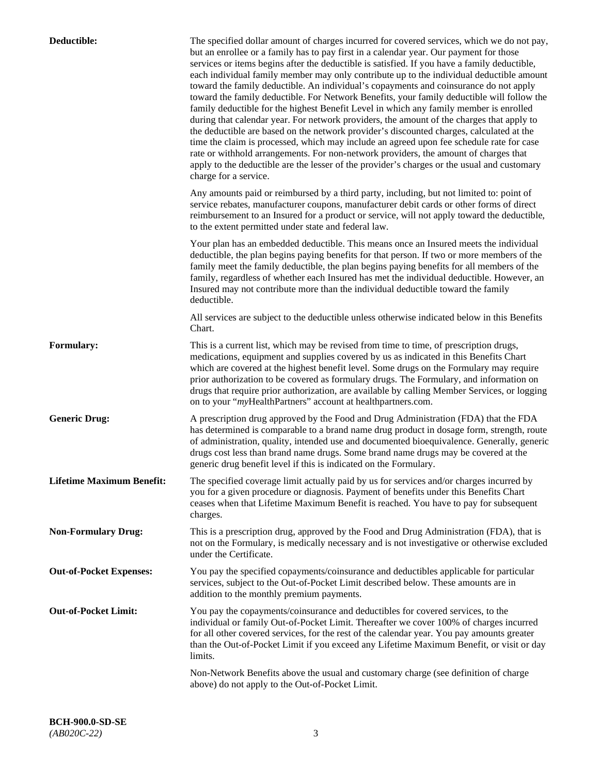| Deductible:                      | The specified dollar amount of charges incurred for covered services, which we do not pay,<br>but an enrollee or a family has to pay first in a calendar year. Our payment for those<br>services or items begins after the deductible is satisfied. If you have a family deductible,<br>each individual family member may only contribute up to the individual deductible amount<br>toward the family deductible. An individual's copayments and coinsurance do not apply<br>toward the family deductible. For Network Benefits, your family deductible will follow the<br>family deductible for the highest Benefit Level in which any family member is enrolled<br>during that calendar year. For network providers, the amount of the charges that apply to<br>the deductible are based on the network provider's discounted charges, calculated at the<br>time the claim is processed, which may include an agreed upon fee schedule rate for case<br>rate or withhold arrangements. For non-network providers, the amount of charges that<br>apply to the deductible are the lesser of the provider's charges or the usual and customary<br>charge for a service. |
|----------------------------------|------------------------------------------------------------------------------------------------------------------------------------------------------------------------------------------------------------------------------------------------------------------------------------------------------------------------------------------------------------------------------------------------------------------------------------------------------------------------------------------------------------------------------------------------------------------------------------------------------------------------------------------------------------------------------------------------------------------------------------------------------------------------------------------------------------------------------------------------------------------------------------------------------------------------------------------------------------------------------------------------------------------------------------------------------------------------------------------------------------------------------------------------------------------------|
|                                  | Any amounts paid or reimbursed by a third party, including, but not limited to: point of<br>service rebates, manufacturer coupons, manufacturer debit cards or other forms of direct<br>reimbursement to an Insured for a product or service, will not apply toward the deductible,<br>to the extent permitted under state and federal law.                                                                                                                                                                                                                                                                                                                                                                                                                                                                                                                                                                                                                                                                                                                                                                                                                            |
|                                  | Your plan has an embedded deductible. This means once an Insured meets the individual<br>deductible, the plan begins paying benefits for that person. If two or more members of the<br>family meet the family deductible, the plan begins paying benefits for all members of the<br>family, regardless of whether each Insured has met the individual deductible. However, an<br>Insured may not contribute more than the individual deductible toward the family<br>deductible.                                                                                                                                                                                                                                                                                                                                                                                                                                                                                                                                                                                                                                                                                       |
|                                  | All services are subject to the deductible unless otherwise indicated below in this Benefits<br>Chart.                                                                                                                                                                                                                                                                                                                                                                                                                                                                                                                                                                                                                                                                                                                                                                                                                                                                                                                                                                                                                                                                 |
| <b>Formulary:</b>                | This is a current list, which may be revised from time to time, of prescription drugs,<br>medications, equipment and supplies covered by us as indicated in this Benefits Chart<br>which are covered at the highest benefit level. Some drugs on the Formulary may require<br>prior authorization to be covered as formulary drugs. The Formulary, and information on<br>drugs that require prior authorization, are available by calling Member Services, or logging<br>on to your "myHealthPartners" account at healthpartners.com.                                                                                                                                                                                                                                                                                                                                                                                                                                                                                                                                                                                                                                  |
| <b>Generic Drug:</b>             | A prescription drug approved by the Food and Drug Administration (FDA) that the FDA<br>has determined is comparable to a brand name drug product in dosage form, strength, route<br>of administration, quality, intended use and documented bioequivalence. Generally, generic<br>drugs cost less than brand name drugs. Some brand name drugs may be covered at the<br>generic drug benefit level if this is indicated on the Formulary.                                                                                                                                                                                                                                                                                                                                                                                                                                                                                                                                                                                                                                                                                                                              |
| <b>Lifetime Maximum Benefit:</b> | The specified coverage limit actually paid by us for services and/or charges incurred by<br>you for a given procedure or diagnosis. Payment of benefits under this Benefits Chart<br>ceases when that Lifetime Maximum Benefit is reached. You have to pay for subsequent<br>charges.                                                                                                                                                                                                                                                                                                                                                                                                                                                                                                                                                                                                                                                                                                                                                                                                                                                                                  |
| <b>Non-Formulary Drug:</b>       | This is a prescription drug, approved by the Food and Drug Administration (FDA), that is<br>not on the Formulary, is medically necessary and is not investigative or otherwise excluded<br>under the Certificate.                                                                                                                                                                                                                                                                                                                                                                                                                                                                                                                                                                                                                                                                                                                                                                                                                                                                                                                                                      |
| <b>Out-of-Pocket Expenses:</b>   | You pay the specified copayments/coinsurance and deductibles applicable for particular<br>services, subject to the Out-of-Pocket Limit described below. These amounts are in<br>addition to the monthly premium payments.                                                                                                                                                                                                                                                                                                                                                                                                                                                                                                                                                                                                                                                                                                                                                                                                                                                                                                                                              |
| <b>Out-of-Pocket Limit:</b>      | You pay the copayments/coinsurance and deductibles for covered services, to the<br>individual or family Out-of-Pocket Limit. Thereafter we cover 100% of charges incurred<br>for all other covered services, for the rest of the calendar year. You pay amounts greater<br>than the Out-of-Pocket Limit if you exceed any Lifetime Maximum Benefit, or visit or day<br>limits.                                                                                                                                                                                                                                                                                                                                                                                                                                                                                                                                                                                                                                                                                                                                                                                         |
|                                  | Non-Network Benefits above the usual and customary charge (see definition of charge<br>above) do not apply to the Out-of-Pocket Limit.                                                                                                                                                                                                                                                                                                                                                                                                                                                                                                                                                                                                                                                                                                                                                                                                                                                                                                                                                                                                                                 |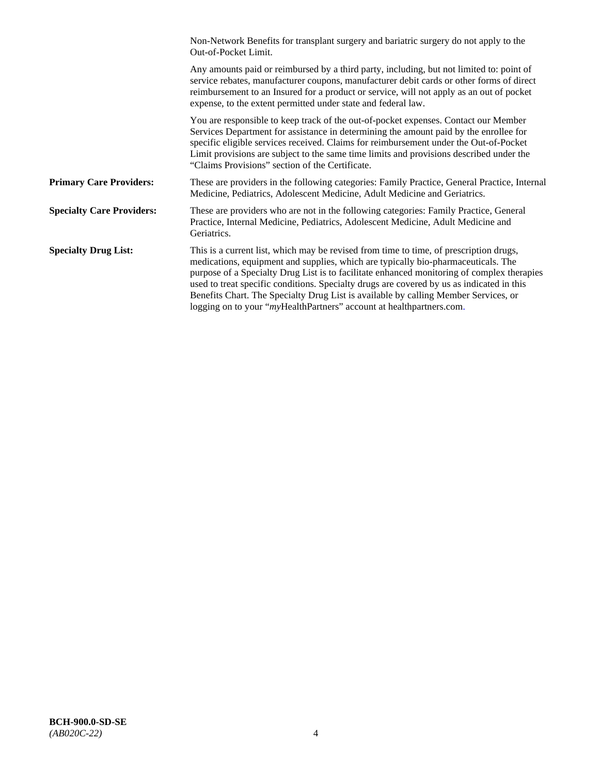|                                  | Non-Network Benefits for transplant surgery and bariatric surgery do not apply to the<br>Out-of-Pocket Limit.                                                                                                                                                                                                                                                                                                                                                                                                                         |
|----------------------------------|---------------------------------------------------------------------------------------------------------------------------------------------------------------------------------------------------------------------------------------------------------------------------------------------------------------------------------------------------------------------------------------------------------------------------------------------------------------------------------------------------------------------------------------|
|                                  | Any amounts paid or reimbursed by a third party, including, but not limited to: point of<br>service rebates, manufacturer coupons, manufacturer debit cards or other forms of direct<br>reimbursement to an Insured for a product or service, will not apply as an out of pocket<br>expense, to the extent permitted under state and federal law.                                                                                                                                                                                     |
|                                  | You are responsible to keep track of the out-of-pocket expenses. Contact our Member<br>Services Department for assistance in determining the amount paid by the enrollee for<br>specific eligible services received. Claims for reimbursement under the Out-of-Pocket<br>Limit provisions are subject to the same time limits and provisions described under the<br>"Claims Provisions" section of the Certificate.                                                                                                                   |
| <b>Primary Care Providers:</b>   | These are providers in the following categories: Family Practice, General Practice, Internal<br>Medicine, Pediatrics, Adolescent Medicine, Adult Medicine and Geriatrics.                                                                                                                                                                                                                                                                                                                                                             |
| <b>Specialty Care Providers:</b> | These are providers who are not in the following categories: Family Practice, General<br>Practice, Internal Medicine, Pediatrics, Adolescent Medicine, Adult Medicine and<br>Geriatrics.                                                                                                                                                                                                                                                                                                                                              |
| <b>Specialty Drug List:</b>      | This is a current list, which may be revised from time to time, of prescription drugs,<br>medications, equipment and supplies, which are typically bio-pharmaceuticals. The<br>purpose of a Specialty Drug List is to facilitate enhanced monitoring of complex therapies<br>used to treat specific conditions. Specialty drugs are covered by us as indicated in this<br>Benefits Chart. The Specialty Drug List is available by calling Member Services, or<br>logging on to your "myHealthPartners" account at healthpartners.com. |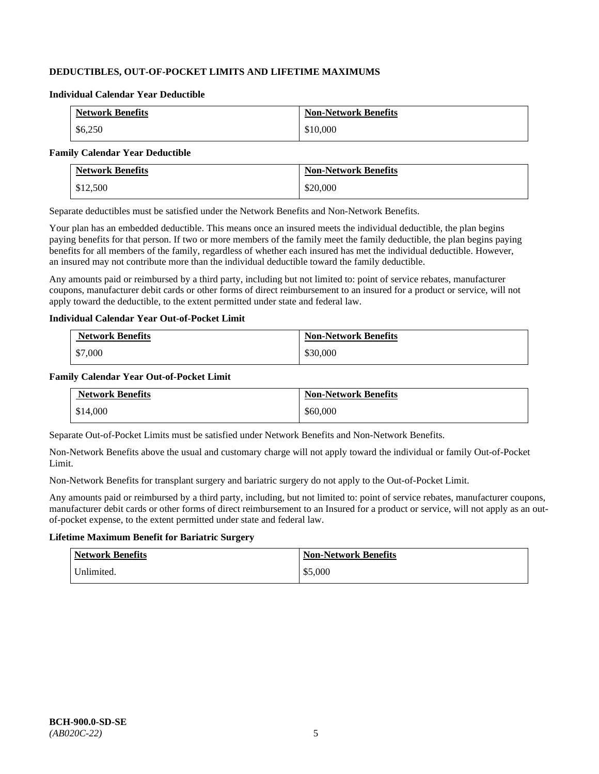# **DEDUCTIBLES, OUT-OF-POCKET LIMITS AND LIFETIME MAXIMUMS**

#### **Individual Calendar Year Deductible**

| <b>Network Benefits</b> | <b>Non-Network Benefits</b> |
|-------------------------|-----------------------------|
| \$6,250                 | \$10,000                    |

#### **Family Calendar Year Deductible**

| <b>Network Benefits</b> | <b>Non-Network Benefits</b> |
|-------------------------|-----------------------------|
| \$12,500                | \$20,000                    |

Separate deductibles must be satisfied under the Network Benefits and Non-Network Benefits.

Your plan has an embedded deductible. This means once an insured meets the individual deductible, the plan begins paying benefits for that person. If two or more members of the family meet the family deductible, the plan begins paying benefits for all members of the family, regardless of whether each insured has met the individual deductible. However, an insured may not contribute more than the individual deductible toward the family deductible.

Any amounts paid or reimbursed by a third party, including but not limited to: point of service rebates, manufacturer coupons, manufacturer debit cards or other forms of direct reimbursement to an insured for a product or service, will not apply toward the deductible, to the extent permitted under state and federal law.

## **Individual Calendar Year Out-of-Pocket Limit**

| <b>Network Benefits</b> | <b>Non-Network Benefits</b> |
|-------------------------|-----------------------------|
| \$7,000                 | \$30,000                    |

## **Family Calendar Year Out-of-Pocket Limit**

| <b>Network Benefits</b> | <b>Non-Network Benefits</b> |
|-------------------------|-----------------------------|
| \$14,000                | \$60,000                    |

Separate Out-of-Pocket Limits must be satisfied under Network Benefits and Non-Network Benefits.

Non-Network Benefits above the usual and customary charge will not apply toward the individual or family Out-of-Pocket Limit.

Non-Network Benefits for transplant surgery and bariatric surgery do not apply to the Out-of-Pocket Limit.

Any amounts paid or reimbursed by a third party, including, but not limited to: point of service rebates, manufacturer coupons, manufacturer debit cards or other forms of direct reimbursement to an Insured for a product or service, will not apply as an outof-pocket expense, to the extent permitted under state and federal law.

## **Lifetime Maximum Benefit for Bariatric Surgery**

| <b>Network Benefits</b> | <b>Non-Network Benefits</b> |
|-------------------------|-----------------------------|
| Unlimited.              | \$5,000                     |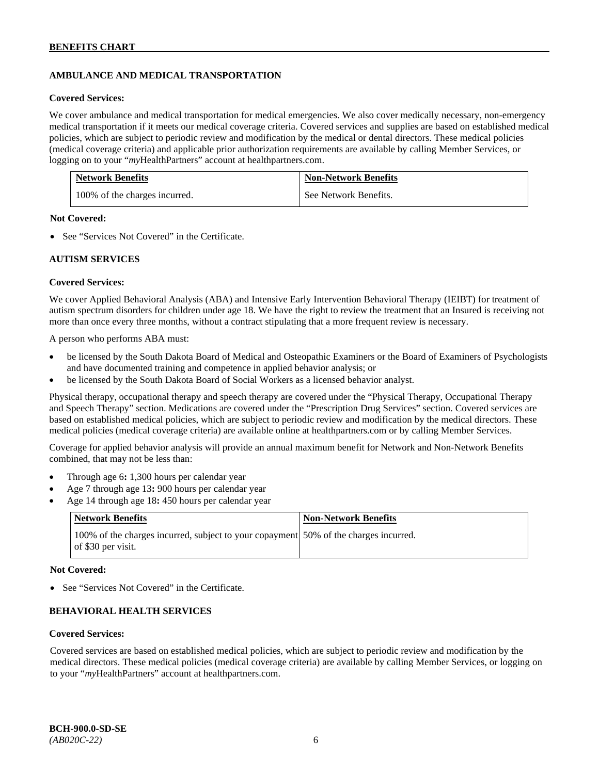# **AMBULANCE AND MEDICAL TRANSPORTATION**

#### **Covered Services:**

We cover ambulance and medical transportation for medical emergencies. We also cover medically necessary, non-emergency medical transportation if it meets our medical coverage criteria. Covered services and supplies are based on established medical policies, which are subject to periodic review and modification by the medical or dental directors. These medical policies (medical coverage criteria) and applicable prior authorization requirements are available by calling Member Services, or logging on to your "*my*HealthPartners" account at [healthpartners.com.](http://healthpartners.com/)

| <b>Network Benefits</b>       | <b>Non-Network Benefits</b> |
|-------------------------------|-----------------------------|
| 100% of the charges incurred. | See Network Benefits.       |

## **Not Covered:**

• See "Services Not Covered" in the Certificate.

## **AUTISM SERVICES**

## **Covered Services:**

We cover Applied Behavioral Analysis (ABA) and Intensive Early Intervention Behavioral Therapy (IEIBT) for treatment of autism spectrum disorders for children under age 18. We have the right to review the treatment that an Insured is receiving not more than once every three months, without a contract stipulating that a more frequent review is necessary.

A person who performs ABA must:

- be licensed by the South Dakota Board of Medical and Osteopathic Examiners or the Board of Examiners of Psychologists and have documented training and competence in applied behavior analysis; or
- be licensed by the South Dakota Board of Social Workers as a licensed behavior analyst.

Physical therapy, occupational therapy and speech therapy are covered under the "Physical Therapy, Occupational Therapy and Speech Therapy" section. Medications are covered under the "Prescription Drug Services" section. Covered services are based on established medical policies, which are subject to periodic review and modification by the medical directors. These medical policies (medical coverage criteria) are available online at [healthpartners.com](http://healthpartners.com/) or by calling Member Services.

Coverage for applied behavior analysis will provide an annual maximum benefit for Network and Non-Network Benefits combined, that may not be less than:

- Through age 6**:** 1,300 hours per calendar year
- Age 7 through age 13**:** 900 hours per calendar year
- Age 14 through age 18**:** 450 hours per calendar year

| <b>Network Benefits</b>                                                                                    | <b>Non-Network Benefits</b> |
|------------------------------------------------------------------------------------------------------------|-----------------------------|
| 100% of the charges incurred, subject to your copayment 50% of the charges incurred.<br>of \$30 per visit. |                             |

#### **Not Covered:**

• See "Services Not Covered" in the Certificate.

## **BEHAVIORAL HEALTH SERVICES**

#### **Covered Services:**

Covered services are based on established medical policies, which are subject to periodic review and modification by the medical directors. These medical policies (medical coverage criteria) are available by calling Member Services, or logging on to your "*my*HealthPartners" account at [healthpartners.com.](http://healthpartners.com/)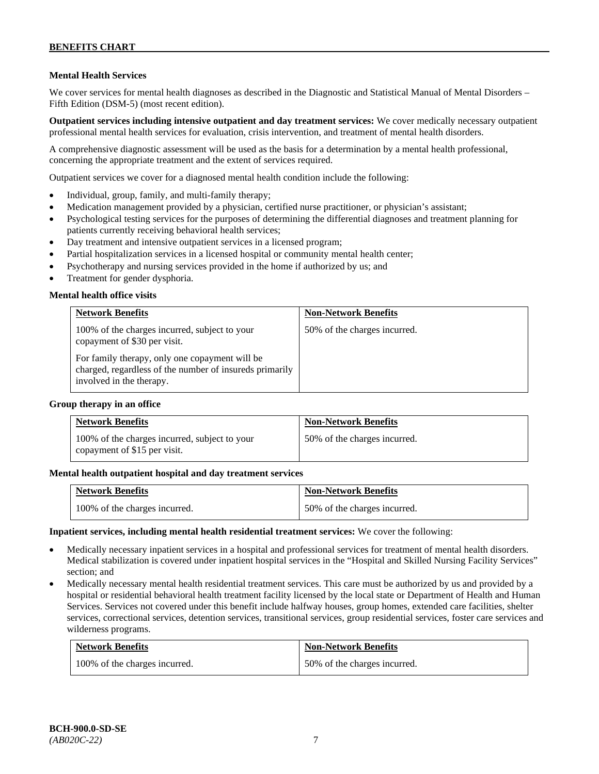## **Mental Health Services**

We cover services for mental health diagnoses as described in the Diagnostic and Statistical Manual of Mental Disorders – Fifth Edition (DSM-5) (most recent edition).

**Outpatient services including intensive outpatient and day treatment services:** We cover medically necessary outpatient professional mental health services for evaluation, crisis intervention, and treatment of mental health disorders.

A comprehensive diagnostic assessment will be used as the basis for a determination by a mental health professional, concerning the appropriate treatment and the extent of services required.

Outpatient services we cover for a diagnosed mental health condition include the following:

- Individual, group, family, and multi-family therapy;
- Medication management provided by a physician, certified nurse practitioner, or physician's assistant;
- Psychological testing services for the purposes of determining the differential diagnoses and treatment planning for patients currently receiving behavioral health services;
- Day treatment and intensive outpatient services in a licensed program;
- Partial hospitalization services in a licensed hospital or community mental health center;
- Psychotherapy and nursing services provided in the home if authorized by us; and
- Treatment for gender dysphoria.

## **Mental health office visits**

| <b>Network Benefits</b>                                                                                                               | <b>Non-Network Benefits</b>  |
|---------------------------------------------------------------------------------------------------------------------------------------|------------------------------|
| 100% of the charges incurred, subject to your<br>copayment of \$30 per visit.                                                         | 50% of the charges incurred. |
| For family therapy, only one copayment will be<br>charged, regardless of the number of insureds primarily<br>involved in the therapy. |                              |

#### **Group therapy in an office**

| <b>Network Benefits</b>                                                       | <b>Non-Network Benefits</b>  |
|-------------------------------------------------------------------------------|------------------------------|
| 100% of the charges incurred, subject to your<br>copayment of \$15 per visit. | 50% of the charges incurred. |

#### **Mental health outpatient hospital and day treatment services**

| <b>Network Benefits</b>       | <b>Non-Network Benefits</b>  |
|-------------------------------|------------------------------|
| 100% of the charges incurred. | 50% of the charges incurred. |

#### **Inpatient services, including mental health residential treatment services:** We cover the following:

- Medically necessary inpatient services in a hospital and professional services for treatment of mental health disorders. Medical stabilization is covered under inpatient hospital services in the "Hospital and Skilled Nursing Facility Services" section; and
- Medically necessary mental health residential treatment services. This care must be authorized by us and provided by a hospital or residential behavioral health treatment facility licensed by the local state or Department of Health and Human Services. Services not covered under this benefit include halfway houses, group homes, extended care facilities, shelter services, correctional services, detention services, transitional services, group residential services, foster care services and wilderness programs.

| <b>Network Benefits</b>       | <b>Non-Network Benefits</b>  |
|-------------------------------|------------------------------|
| 100% of the charges incurred. | 50% of the charges incurred. |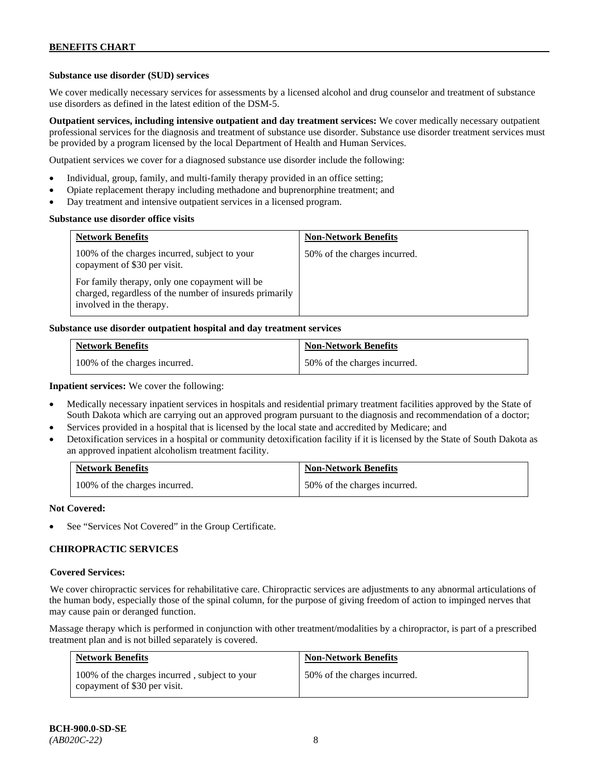## **Substance use disorder (SUD) services**

We cover medically necessary services for assessments by a licensed alcohol and drug counselor and treatment of substance use disorders as defined in the latest edition of the DSM-5.

**Outpatient services, including intensive outpatient and day treatment services:** We cover medically necessary outpatient professional services for the diagnosis and treatment of substance use disorder. Substance use disorder treatment services must be provided by a program licensed by the local Department of Health and Human Services.

Outpatient services we cover for a diagnosed substance use disorder include the following:

- Individual, group, family, and multi-family therapy provided in an office setting;
- Opiate replacement therapy including methadone and buprenorphine treatment; and
- Day treatment and intensive outpatient services in a licensed program.

#### **Substance use disorder office visits**

| <b>Network Benefits</b>                                                                                                               | <b>Non-Network Benefits</b>  |
|---------------------------------------------------------------------------------------------------------------------------------------|------------------------------|
| 100% of the charges incurred, subject to your<br>copayment of \$30 per visit.                                                         | 50% of the charges incurred. |
| For family therapy, only one copayment will be<br>charged, regardless of the number of insureds primarily<br>involved in the therapy. |                              |

## **Substance use disorder outpatient hospital and day treatment services**

| <b>Network Benefits</b>       | <b>Non-Network Benefits</b>  |
|-------------------------------|------------------------------|
| 100% of the charges incurred. | 50% of the charges incurred. |

## **Inpatient services:** We cover the following:

- Medically necessary inpatient services in hospitals and residential primary treatment facilities approved by the State of South Dakota which are carrying out an approved program pursuant to the diagnosis and recommendation of a doctor;
- Services provided in a hospital that is licensed by the local state and accredited by Medicare; and
- Detoxification services in a hospital or community detoxification facility if it is licensed by the State of South Dakota as an approved inpatient alcoholism treatment facility.

| <b>Network Benefits</b>       | Non-Network Benefits         |
|-------------------------------|------------------------------|
| 100% of the charges incurred. | 50% of the charges incurred. |

#### **Not Covered:**

See "Services Not Covered" in the Group Certificate.

## **CHIROPRACTIC SERVICES**

#### **Covered Services:**

We cover chiropractic services for rehabilitative care. Chiropractic services are adjustments to any abnormal articulations of the human body, especially those of the spinal column, for the purpose of giving freedom of action to impinged nerves that may cause pain or deranged function.

Massage therapy which is performed in conjunction with other treatment/modalities by a chiropractor, is part of a prescribed treatment plan and is not billed separately is covered.

| <b>Network Benefits</b>                                                       | <b>Non-Network Benefits</b>  |
|-------------------------------------------------------------------------------|------------------------------|
| 100% of the charges incurred, subject to your<br>copayment of \$30 per visit. | 50% of the charges incurred. |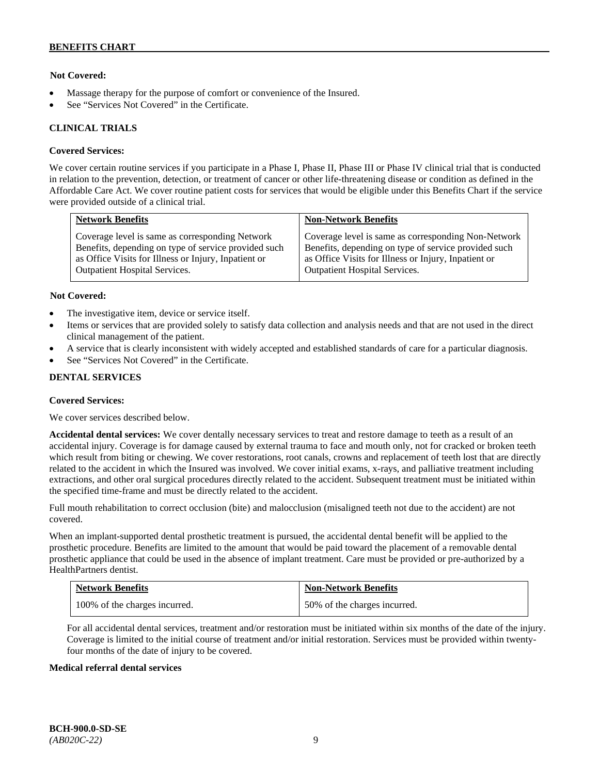## **Not Covered:**

- Massage therapy for the purpose of comfort or convenience of the Insured.
- See "Services Not Covered" in the Certificate.

## **CLINICAL TRIALS**

## **Covered Services:**

We cover certain routine services if you participate in a Phase I, Phase II, Phase III or Phase IV clinical trial that is conducted in relation to the prevention, detection, or treatment of cancer or other life-threatening disease or condition as defined in the Affordable Care Act. We cover routine patient costs for services that would be eligible under this Benefits Chart if the service were provided outside of a clinical trial.

| <b>Network Benefits</b>                              | <b>Non-Network Benefits</b>                          |
|------------------------------------------------------|------------------------------------------------------|
| Coverage level is same as corresponding Network      | Coverage level is same as corresponding Non-Network  |
| Benefits, depending on type of service provided such | Benefits, depending on type of service provided such |
| as Office Visits for Illness or Injury, Inpatient or | as Office Visits for Illness or Injury, Inpatient or |
| <b>Outpatient Hospital Services.</b>                 | Outpatient Hospital Services.                        |

## **Not Covered:**

- The investigative item, device or service itself.
- Items or services that are provided solely to satisfy data collection and analysis needs and that are not used in the direct clinical management of the patient.
- A service that is clearly inconsistent with widely accepted and established standards of care for a particular diagnosis.
- See "Services Not Covered" in the Certificate.

## **DENTAL SERVICES**

#### **Covered Services:**

We cover services described below.

**Accidental dental services:** We cover dentally necessary services to treat and restore damage to teeth as a result of an accidental injury. Coverage is for damage caused by external trauma to face and mouth only, not for cracked or broken teeth which result from biting or chewing. We cover restorations, root canals, crowns and replacement of teeth lost that are directly related to the accident in which the Insured was involved. We cover initial exams, x-rays, and palliative treatment including extractions, and other oral surgical procedures directly related to the accident. Subsequent treatment must be initiated within the specified time-frame and must be directly related to the accident.

Full mouth rehabilitation to correct occlusion (bite) and malocclusion (misaligned teeth not due to the accident) are not covered.

When an implant-supported dental prosthetic treatment is pursued, the accidental dental benefit will be applied to the prosthetic procedure. Benefits are limited to the amount that would be paid toward the placement of a removable dental prosthetic appliance that could be used in the absence of implant treatment. Care must be provided or pre-authorized by a HealthPartners dentist.

| <b>Network Benefits</b>       | <b>Non-Network Benefits</b>  |
|-------------------------------|------------------------------|
| 100% of the charges incurred. | 50% of the charges incurred. |

For all accidental dental services, treatment and/or restoration must be initiated within six months of the date of the injury. Coverage is limited to the initial course of treatment and/or initial restoration. Services must be provided within twentyfour months of the date of injury to be covered.

#### **Medical referral dental services**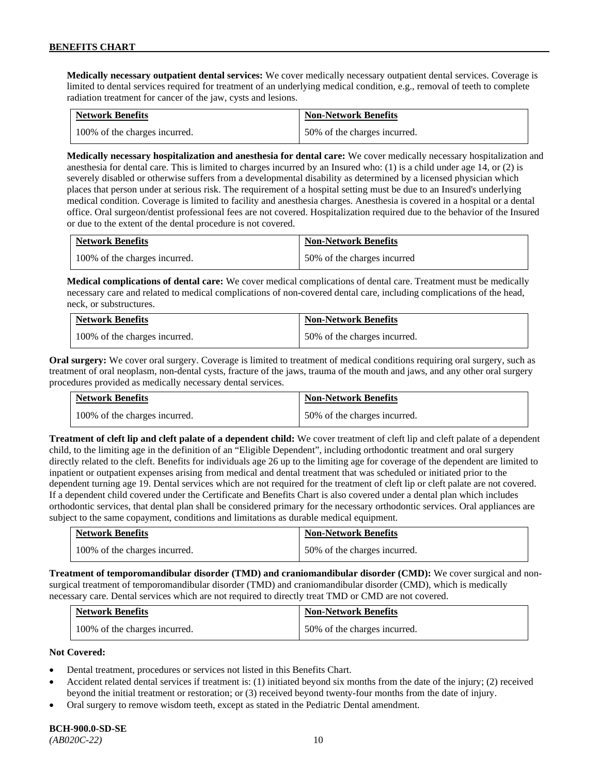**Medically necessary outpatient dental services:** We cover medically necessary outpatient dental services. Coverage is limited to dental services required for treatment of an underlying medical condition, e.g., removal of teeth to complete radiation treatment for cancer of the jaw, cysts and lesions.

| <b>Network Benefits</b>       | <b>Non-Network Benefits</b>  |
|-------------------------------|------------------------------|
| 100% of the charges incurred. | 50% of the charges incurred. |

**Medically necessary hospitalization and anesthesia for dental care:** We cover medically necessary hospitalization and anesthesia for dental care. This is limited to charges incurred by an Insured who: (1) is a child under age 14, or (2) is severely disabled or otherwise suffers from a developmental disability as determined by a licensed physician which places that person under at serious risk. The requirement of a hospital setting must be due to an Insured's underlying medical condition. Coverage is limited to facility and anesthesia charges. Anesthesia is covered in a hospital or a dental office. Oral surgeon/dentist professional fees are not covered. Hospitalization required due to the behavior of the Insured or due to the extent of the dental procedure is not covered.

| <b>Network Benefits</b>       | <b>Non-Network Benefits</b> |
|-------------------------------|-----------------------------|
| 100% of the charges incurred. | 50% of the charges incurred |

**Medical complications of dental care:** We cover medical complications of dental care. Treatment must be medically necessary care and related to medical complications of non-covered dental care, including complications of the head, neck, or substructures.

| <b>Network Benefits</b>       | <b>Non-Network Benefits</b>  |
|-------------------------------|------------------------------|
| 100% of the charges incurred. | 50% of the charges incurred. |

**Oral surgery:** We cover oral surgery. Coverage is limited to treatment of medical conditions requiring oral surgery, such as treatment of oral neoplasm, non-dental cysts, fracture of the jaws, trauma of the mouth and jaws, and any other oral surgery procedures provided as medically necessary dental services.

| <b>Network Benefits</b>       | <b>Non-Network Benefits</b>  |
|-------------------------------|------------------------------|
| 100% of the charges incurred. | 50% of the charges incurred. |

**Treatment of cleft lip and cleft palate of a dependent child:** We cover treatment of cleft lip and cleft palate of a dependent child, to the limiting age in the definition of an "Eligible Dependent", including orthodontic treatment and oral surgery directly related to the cleft. Benefits for individuals age 26 up to the limiting age for coverage of the dependent are limited to inpatient or outpatient expenses arising from medical and dental treatment that was scheduled or initiated prior to the dependent turning age 19. Dental services which are not required for the treatment of cleft lip or cleft palate are not covered. If a dependent child covered under the Certificate and Benefits Chart is also covered under a dental plan which includes orthodontic services, that dental plan shall be considered primary for the necessary orthodontic services. Oral appliances are subject to the same copayment, conditions and limitations as durable medical equipment.

| <b>Network Benefits</b>       | <b>Non-Network Benefits</b>  |
|-------------------------------|------------------------------|
| 100% of the charges incurred. | 50% of the charges incurred. |

**Treatment of temporomandibular disorder (TMD) and craniomandibular disorder (CMD):** We cover surgical and nonsurgical treatment of temporomandibular disorder (TMD) and craniomandibular disorder (CMD), which is medically necessary care. Dental services which are not required to directly treat TMD or CMD are not covered.

| <b>Network Benefits</b>       | <b>Non-Network Benefits</b>  |
|-------------------------------|------------------------------|
| 100% of the charges incurred. | 50% of the charges incurred. |

## **Not Covered:**

- Dental treatment, procedures or services not listed in this Benefits Chart.
- Accident related dental services if treatment is: (1) initiated beyond six months from the date of the injury; (2) received beyond the initial treatment or restoration; or (3) received beyond twenty-four months from the date of injury.
- Oral surgery to remove wisdom teeth, except as stated in the Pediatric Dental amendment.

# **BCH-900.0-SD-SE**

*(AB020C-22)* 10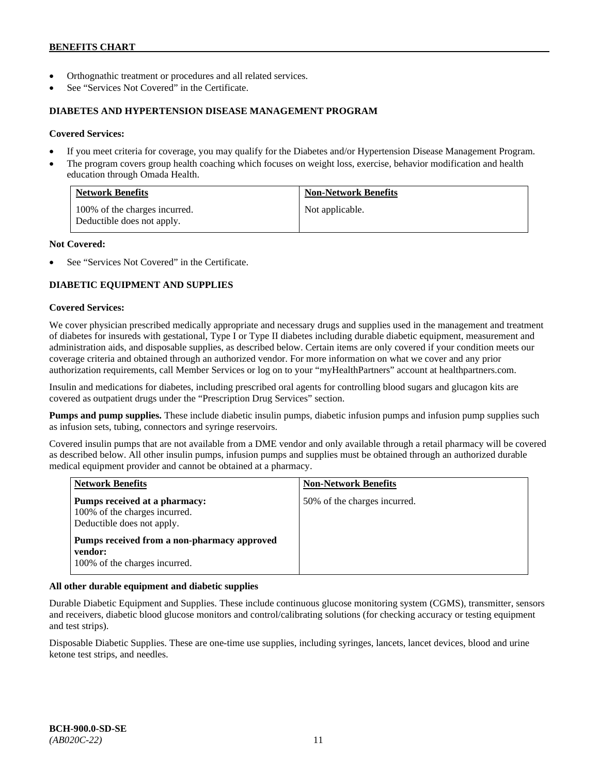- Orthognathic treatment or procedures and all related services.
- See "Services Not Covered" in the Certificate.

## **DIABETES AND HYPERTENSION DISEASE MANAGEMENT PROGRAM**

## **Covered Services:**

- If you meet criteria for coverage, you may qualify for the Diabetes and/or Hypertension Disease Management Program.
- The program covers group health coaching which focuses on weight loss, exercise, behavior modification and health education through Omada Health.

| <b>Network Benefits</b>                                     | <b>Non-Network Benefits</b> |
|-------------------------------------------------------------|-----------------------------|
| 100% of the charges incurred.<br>Deductible does not apply. | Not applicable.             |

## **Not Covered:**

See "Services Not Covered" in the Certificate.

# **DIABETIC EQUIPMENT AND SUPPLIES**

## **Covered Services:**

We cover physician prescribed medically appropriate and necessary drugs and supplies used in the management and treatment of diabetes for insureds with gestational, Type I or Type II diabetes including durable diabetic equipment, measurement and administration aids, and disposable supplies, as described below. Certain items are only covered if your condition meets our coverage criteria and obtained through an authorized vendor. For more information on what we cover and any prior authorization requirements, call Member Services or log on to your "myHealthPartners" account at [healthpartners.com.](http://www.healthpartners.com/)

Insulin and medications for diabetes, including prescribed oral agents for controlling blood sugars and glucagon kits are covered as outpatient drugs under the "Prescription Drug Services" section.

**Pumps and pump supplies.** These include diabetic insulin pumps, diabetic infusion pumps and infusion pump supplies such as infusion sets, tubing, connectors and syringe reservoirs.

Covered insulin pumps that are not available from a DME vendor and only available through a retail pharmacy will be covered as described below. All other insulin pumps, infusion pumps and supplies must be obtained through an authorized durable medical equipment provider and cannot be obtained at a pharmacy.

| <b>Network Benefits</b>                                                                      | <b>Non-Network Benefits</b>  |
|----------------------------------------------------------------------------------------------|------------------------------|
| Pumps received at a pharmacy:<br>100% of the charges incurred.<br>Deductible does not apply. | 50% of the charges incurred. |
| Pumps received from a non-pharmacy approved<br>vendor:<br>100% of the charges incurred.      |                              |

## **All other durable equipment and diabetic supplies**

Durable Diabetic Equipment and Supplies. These include continuous glucose monitoring system (CGMS), transmitter, sensors and receivers, diabetic blood glucose monitors and control/calibrating solutions (for checking accuracy or testing equipment and test strips).

Disposable Diabetic Supplies. These are one-time use supplies, including syringes, lancets, lancet devices, blood and urine ketone test strips, and needles.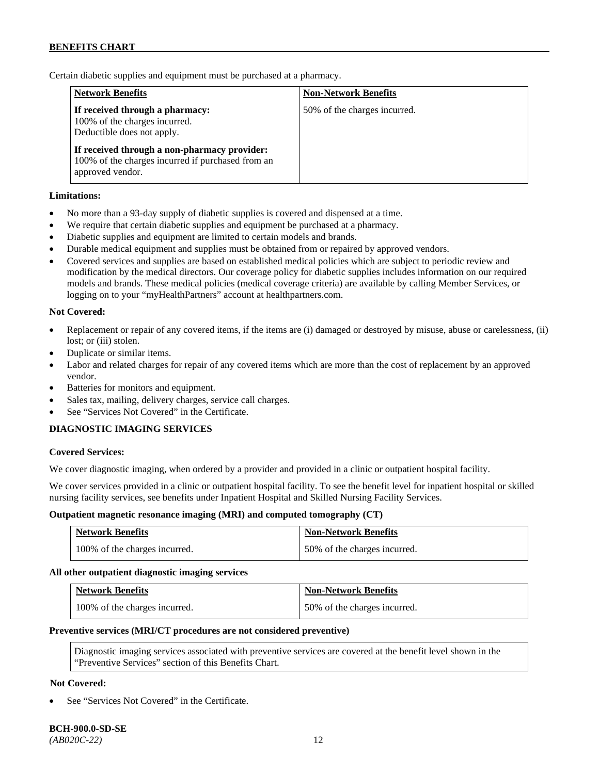Certain diabetic supplies and equipment must be purchased at a pharmacy.

| <b>Network Benefits</b>                                                                                               | <b>Non-Network Benefits</b>  |
|-----------------------------------------------------------------------------------------------------------------------|------------------------------|
| If received through a pharmacy:<br>100% of the charges incurred.<br>Deductible does not apply.                        | 50% of the charges incurred. |
| If received through a non-pharmacy provider:<br>100% of the charges incurred if purchased from an<br>approved vendor. |                              |

## **Limitations:**

- No more than a 93-day supply of diabetic supplies is covered and dispensed at a time.
- We require that certain diabetic supplies and equipment be purchased at a pharmacy.
- Diabetic supplies and equipment are limited to certain models and brands.
- Durable medical equipment and supplies must be obtained from or repaired by approved vendors.
- Covered services and supplies are based on established medical policies which are subject to periodic review and modification by the medical directors. Our coverage policy for diabetic supplies includes information on our required models and brands. These medical policies (medical coverage criteria) are available by calling Member Services, or logging on to your "myHealthPartners" account at [healthpartners.com.](http://www.healthpartners.com/)

## **Not Covered:**

- Replacement or repair of any covered items, if the items are (i) damaged or destroyed by misuse, abuse or carelessness, (ii) lost; or (iii) stolen.
- Duplicate or similar items.
- Labor and related charges for repair of any covered items which are more than the cost of replacement by an approved vendor.
- Batteries for monitors and equipment.
- Sales tax, mailing, delivery charges, service call charges.
- See "Services Not Covered" in the Certificate.

## **DIAGNOSTIC IMAGING SERVICES**

#### **Covered Services:**

We cover diagnostic imaging, when ordered by a provider and provided in a clinic or outpatient hospital facility.

We cover services provided in a clinic or outpatient hospital facility. To see the benefit level for inpatient hospital or skilled nursing facility services, see benefits under Inpatient Hospital and Skilled Nursing Facility Services.

#### **Outpatient magnetic resonance imaging (MRI) and computed tomography (CT)**

| <b>Network Benefits</b>       | <b>Non-Network Benefits</b>  |
|-------------------------------|------------------------------|
| 100% of the charges incurred. | 50% of the charges incurred. |

#### **All other outpatient diagnostic imaging services**

| <b>Network Benefits</b>       | <b>Non-Network Benefits</b>  |
|-------------------------------|------------------------------|
| 100% of the charges incurred. | 50% of the charges incurred. |

#### **Preventive services (MRI/CT procedures are not considered preventive)**

Diagnostic imaging services associated with preventive services are covered at the benefit level shown in the "Preventive Services" section of this Benefits Chart.

## **Not Covered:**

See "Services Not Covered" in the Certificate.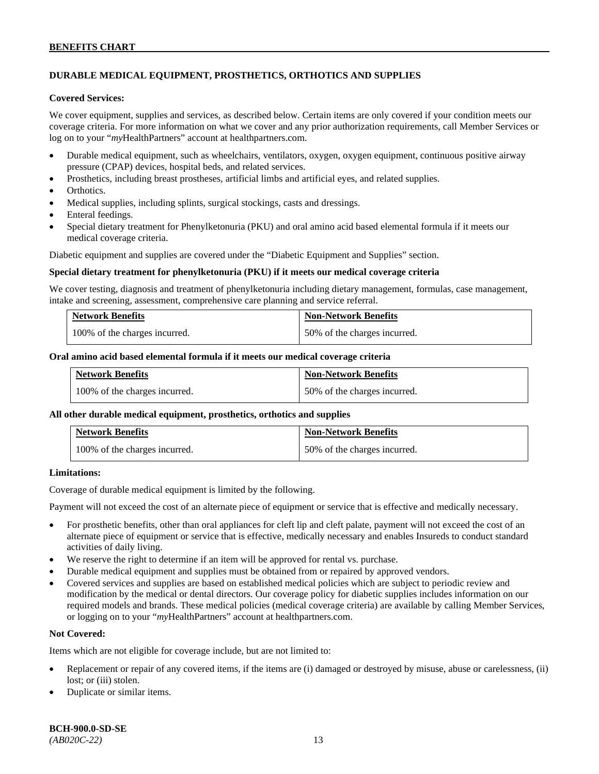# **DURABLE MEDICAL EQUIPMENT, PROSTHETICS, ORTHOTICS AND SUPPLIES**

### **Covered Services:**

We cover equipment, supplies and services, as described below. Certain items are only covered if your condition meets our coverage criteria. For more information on what we cover and any prior authorization requirements, call Member Services or log on to your "*my*HealthPartners" account at [healthpartners.com.](http://healthpartners.com/)

- Durable medical equipment, such as wheelchairs, ventilators, oxygen, oxygen equipment, continuous positive airway pressure (CPAP) devices, hospital beds, and related services.
- Prosthetics, including breast prostheses, artificial limbs and artificial eyes, and related supplies.
- Orthotics.
- Medical supplies, including splints, surgical stockings, casts and dressings.
- Enteral feedings.
- Special dietary treatment for Phenylketonuria (PKU) and oral amino acid based elemental formula if it meets our medical coverage criteria.

Diabetic equipment and supplies are covered under the "Diabetic Equipment and Supplies" section.

#### **Special dietary treatment for phenylketonuria (PKU) if it meets our medical coverage criteria**

We cover testing, diagnosis and treatment of phenylketonuria including dietary management, formulas, case management, intake and screening, assessment, comprehensive care planning and service referral.

| <b>Network Benefits</b>       | <b>Non-Network Benefits</b>  |
|-------------------------------|------------------------------|
| 100% of the charges incurred. | 50% of the charges incurred. |

#### **Oral amino acid based elemental formula if it meets our medical coverage criteria**

| <b>Network Benefits</b>       | <b>Non-Network Benefits</b>  |
|-------------------------------|------------------------------|
| 100% of the charges incurred. | 50% of the charges incurred. |

#### **All other durable medical equipment, prosthetics, orthotics and supplies**

| <b>Network Benefits</b>       | <b>Non-Network Benefits</b>  |
|-------------------------------|------------------------------|
| 100% of the charges incurred. | 50% of the charges incurred. |

## **Limitations:**

Coverage of durable medical equipment is limited by the following.

Payment will not exceed the cost of an alternate piece of equipment or service that is effective and medically necessary.

- For prosthetic benefits, other than oral appliances for cleft lip and cleft palate, payment will not exceed the cost of an alternate piece of equipment or service that is effective, medically necessary and enables Insureds to conduct standard activities of daily living.
- We reserve the right to determine if an item will be approved for rental vs. purchase.
- Durable medical equipment and supplies must be obtained from or repaired by approved vendors.
- Covered services and supplies are based on established medical policies which are subject to periodic review and modification by the medical or dental directors. Our coverage policy for diabetic supplies includes information on our required models and brands. These medical policies (medical coverage criteria) are available by calling Member Services, or logging on to your "*my*HealthPartners" account at [healthpartners.com.](http://www.healthpartners.com/)

## **Not Covered:**

Items which are not eligible for coverage include, but are not limited to:

- Replacement or repair of any covered items, if the items are (i) damaged or destroyed by misuse, abuse or carelessness, (ii) lost; or (iii) stolen.
- Duplicate or similar items.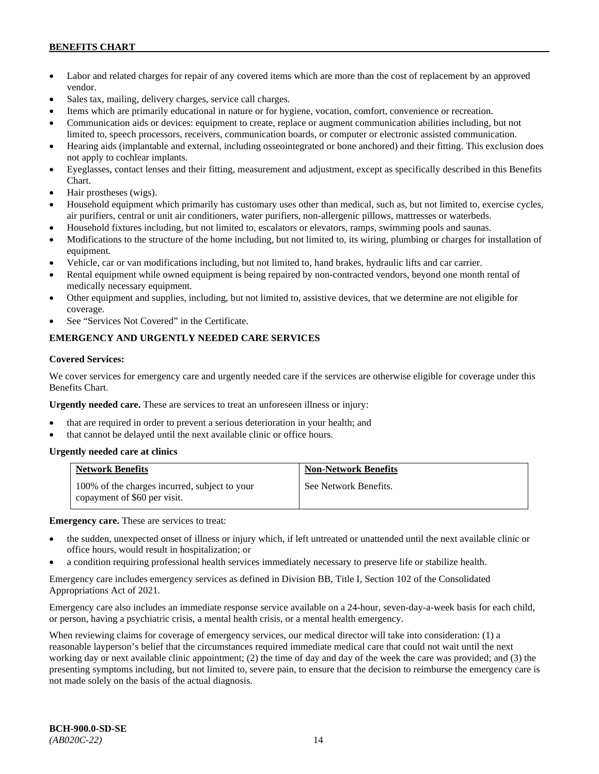- Labor and related charges for repair of any covered items which are more than the cost of replacement by an approved vendor.
- Sales tax, mailing, delivery charges, service call charges.
- Items which are primarily educational in nature or for hygiene, vocation, comfort, convenience or recreation.
- Communication aids or devices: equipment to create, replace or augment communication abilities including, but not limited to, speech processors, receivers, communication boards, or computer or electronic assisted communication.
- Hearing aids (implantable and external, including osseointegrated or bone anchored) and their fitting. This exclusion does not apply to cochlear implants.
- Eyeglasses, contact lenses and their fitting, measurement and adjustment, except as specifically described in this Benefits Chart.
- Hair prostheses (wigs).
- Household equipment which primarily has customary uses other than medical, such as, but not limited to, exercise cycles, air purifiers, central or unit air conditioners, water purifiers, non-allergenic pillows, mattresses or waterbeds.
- Household fixtures including, but not limited to, escalators or elevators, ramps, swimming pools and saunas.
- Modifications to the structure of the home including, but not limited to, its wiring, plumbing or charges for installation of equipment.
- Vehicle, car or van modifications including, but not limited to, hand brakes, hydraulic lifts and car carrier.
- Rental equipment while owned equipment is being repaired by non-contracted vendors, beyond one month rental of medically necessary equipment.
- Other equipment and supplies, including, but not limited to, assistive devices, that we determine are not eligible for coverage.
- See "Services Not Covered" in the Certificate.

# **EMERGENCY AND URGENTLY NEEDED CARE SERVICES**

#### **Covered Services:**

We cover services for emergency care and urgently needed care if the services are otherwise eligible for coverage under this Benefits Chart.

**Urgently needed care.** These are services to treat an unforeseen illness or injury:

- that are required in order to prevent a serious deterioration in your health; and
- that cannot be delayed until the next available clinic or office hours.

#### **Urgently needed care at clinics**

| <b>Network Benefits</b>                                                       | <b>Non-Network Benefits</b> |
|-------------------------------------------------------------------------------|-----------------------------|
| 100% of the charges incurred, subject to your<br>copayment of \$60 per visit. | See Network Benefits.       |

**Emergency care.** These are services to treat:

- the sudden, unexpected onset of illness or injury which, if left untreated or unattended until the next available clinic or office hours, would result in hospitalization; or
- a condition requiring professional health services immediately necessary to preserve life or stabilize health.

Emergency care includes emergency services as defined in Division BB, Title I, Section 102 of the Consolidated Appropriations Act of 2021.

Emergency care also includes an immediate response service available on a 24-hour, seven-day-a-week basis for each child, or person, having a psychiatric crisis, a mental health crisis, or a mental health emergency.

When reviewing claims for coverage of emergency services, our medical director will take into consideration: (1) a reasonable layperson's belief that the circumstances required immediate medical care that could not wait until the next working day or next available clinic appointment; (2) the time of day and day of the week the care was provided; and (3) the presenting symptoms including, but not limited to, severe pain, to ensure that the decision to reimburse the emergency care is not made solely on the basis of the actual diagnosis.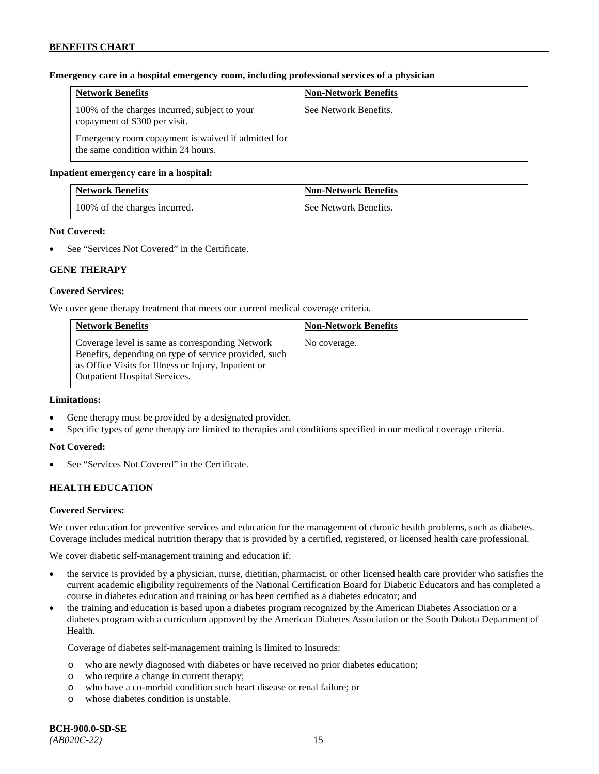## **Emergency care in a hospital emergency room, including professional services of a physician**

| <b>Network Benefits</b>                                                                   | <b>Non-Network Benefits</b> |
|-------------------------------------------------------------------------------------------|-----------------------------|
| 100% of the charges incurred, subject to your<br>copayment of \$300 per visit.            | See Network Benefits.       |
| Emergency room copayment is waived if admitted for<br>the same condition within 24 hours. |                             |

## **Inpatient emergency care in a hospital:**

| <b>Network Benefits</b>       | <b>Non-Network Benefits</b> |
|-------------------------------|-----------------------------|
| 100% of the charges incurred. | See Network Benefits.       |

#### **Not Covered:**

See "Services Not Covered" in the Certificate.

## **GENE THERAPY**

## **Covered Services:**

We cover gene therapy treatment that meets our current medical coverage criteria.

| <b>Network Benefits</b>                                                                                                                                                                                  | <b>Non-Network Benefits</b> |
|----------------------------------------------------------------------------------------------------------------------------------------------------------------------------------------------------------|-----------------------------|
| Coverage level is same as corresponding Network<br>Benefits, depending on type of service provided, such<br>as Office Visits for Illness or Injury, Inpatient or<br><b>Outpatient Hospital Services.</b> | No coverage.                |

#### **Limitations:**

- Gene therapy must be provided by a designated provider.
- Specific types of gene therapy are limited to therapies and conditions specified in our medical coverage criteria.

## **Not Covered:**

See "Services Not Covered" in the Certificate.

## **HEALTH EDUCATION**

#### **Covered Services:**

We cover education for preventive services and education for the management of chronic health problems, such as diabetes. Coverage includes medical nutrition therapy that is provided by a certified, registered, or licensed health care professional.

We cover diabetic self-management training and education if:

- the service is provided by a physician, nurse, dietitian, pharmacist, or other licensed health care provider who satisfies the current academic eligibility requirements of the National Certification Board for Diabetic Educators and has completed a course in diabetes education and training or has been certified as a diabetes educator; and
- the training and education is based upon a diabetes program recognized by the American Diabetes Association or a diabetes program with a curriculum approved by the American Diabetes Association or the South Dakota Department of Health.

Coverage of diabetes self-management training is limited to Insureds:

- o who are newly diagnosed with diabetes or have received no prior diabetes education;
- o who require a change in current therapy;
- o who have a co-morbid condition such heart disease or renal failure; or
- o whose diabetes condition is unstable.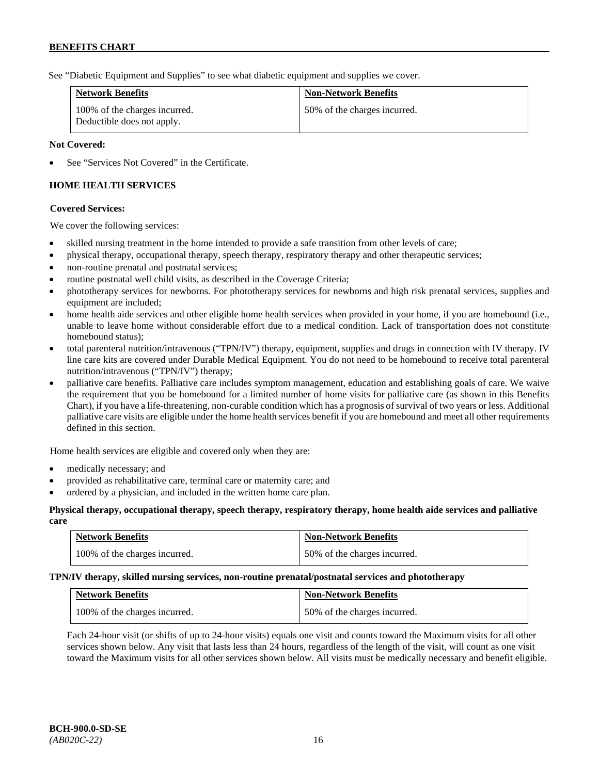See "Diabetic Equipment and Supplies" to see what diabetic equipment and supplies we cover.

| <b>Network Benefits</b>                                     | <b>Non-Network Benefits</b>  |
|-------------------------------------------------------------|------------------------------|
| 100% of the charges incurred.<br>Deductible does not apply. | 50% of the charges incurred. |

## **Not Covered:**

See "Services Not Covered" in the Certificate.

# **HOME HEALTH SERVICES**

## **Covered Services:**

We cover the following services:

- skilled nursing treatment in the home intended to provide a safe transition from other levels of care;
- physical therapy, occupational therapy, speech therapy, respiratory therapy and other therapeutic services;
- non-routine prenatal and postnatal services;
- routine postnatal well child visits, as described in the Coverage Criteria;
- phototherapy services for newborns. For phototherapy services for newborns and high risk prenatal services, supplies and equipment are included;
- home health aide services and other eligible home health services when provided in your home, if you are homebound (i.e., unable to leave home without considerable effort due to a medical condition. Lack of transportation does not constitute homebound status);
- total parenteral nutrition/intravenous ("TPN/IV") therapy, equipment, supplies and drugs in connection with IV therapy. IV line care kits are covered under Durable Medical Equipment. You do not need to be homebound to receive total parenteral nutrition/intravenous ("TPN/IV") therapy;
- palliative care benefits. Palliative care includes symptom management, education and establishing goals of care. We waive the requirement that you be homebound for a limited number of home visits for palliative care (as shown in this Benefits Chart), if you have a life-threatening, non-curable condition which has a prognosis of survival of two years or less. Additional palliative care visits are eligible under the home health services benefit if you are homebound and meet all other requirements defined in this section.

Home health services are eligible and covered only when they are:

- medically necessary; and
- provided as rehabilitative care, terminal care or maternity care; and
- ordered by a physician, and included in the written home care plan.

#### **Physical therapy, occupational therapy, speech therapy, respiratory therapy, home health aide services and palliative care**

| <b>Network Benefits</b>       | <b>Non-Network Benefits</b>  |
|-------------------------------|------------------------------|
| 100% of the charges incurred. | 50% of the charges incurred. |

#### **TPN/IV therapy, skilled nursing services, non-routine prenatal/postnatal services and phototherapy**

| <b>Network Benefits</b>       | <b>Non-Network Benefits</b>  |
|-------------------------------|------------------------------|
| 100% of the charges incurred. | 50% of the charges incurred. |

Each 24-hour visit (or shifts of up to 24-hour visits) equals one visit and counts toward the Maximum visits for all other services shown below. Any visit that lasts less than 24 hours, regardless of the length of the visit, will count as one visit toward the Maximum visits for all other services shown below. All visits must be medically necessary and benefit eligible.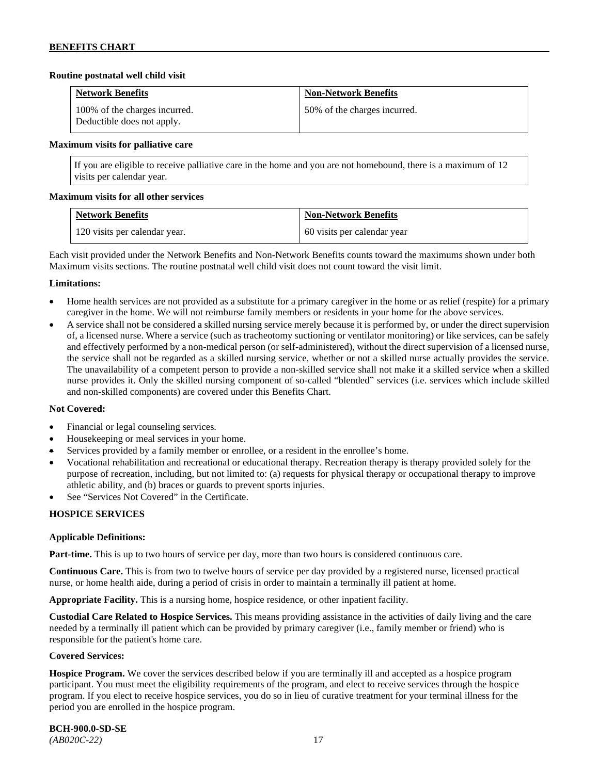## **Routine postnatal well child visit**

| <b>Network Benefits</b>                                     | <b>Non-Network Benefits</b>  |
|-------------------------------------------------------------|------------------------------|
| 100% of the charges incurred.<br>Deductible does not apply. | 50% of the charges incurred. |

#### **Maximum visits for palliative care**

If you are eligible to receive palliative care in the home and you are not homebound, there is a maximum of 12 visits per calendar year.

## **Maximum visits for all other services**

| <b>Network Benefits</b>       | <b>Non-Network Benefits</b> |
|-------------------------------|-----------------------------|
| 120 visits per calendar year. | 60 visits per calendar year |

Each visit provided under the Network Benefits and Non-Network Benefits counts toward the maximums shown under both Maximum visits sections. The routine postnatal well child visit does not count toward the visit limit.

## **Limitations:**

- Home health services are not provided as a substitute for a primary caregiver in the home or as relief (respite) for a primary caregiver in the home. We will not reimburse family members or residents in your home for the above services.
- A service shall not be considered a skilled nursing service merely because it is performed by, or under the direct supervision of, a licensed nurse. Where a service (such as tracheotomy suctioning or ventilator monitoring) or like services, can be safely and effectively performed by a non-medical person (or self-administered), without the direct supervision of a licensed nurse, the service shall not be regarded as a skilled nursing service, whether or not a skilled nurse actually provides the service. The unavailability of a competent person to provide a non-skilled service shall not make it a skilled service when a skilled nurse provides it. Only the skilled nursing component of so-called "blended" services (i.e. services which include skilled and non-skilled components) are covered under this Benefits Chart.

#### **Not Covered:**

- Financial or legal counseling services.
- Housekeeping or meal services in your home.
- Services provided by a family member or enrollee, or a resident in the enrollee's home.
- Vocational rehabilitation and recreational or educational therapy. Recreation therapy is therapy provided solely for the purpose of recreation, including, but not limited to: (a) requests for physical therapy or occupational therapy to improve athletic ability, and (b) braces or guards to prevent sports injuries.
- See "Services Not Covered" in the Certificate.

## **HOSPICE SERVICES**

## **Applicable Definitions:**

**Part-time.** This is up to two hours of service per day, more than two hours is considered continuous care.

**Continuous Care.** This is from two to twelve hours of service per day provided by a registered nurse, licensed practical nurse, or home health aide, during a period of crisis in order to maintain a terminally ill patient at home.

**Appropriate Facility.** This is a nursing home, hospice residence, or other inpatient facility.

**Custodial Care Related to Hospice Services.** This means providing assistance in the activities of daily living and the care needed by a terminally ill patient which can be provided by primary caregiver (i.e., family member or friend) who is responsible for the patient's home care.

#### **Covered Services:**

**Hospice Program.** We cover the services described below if you are terminally ill and accepted as a hospice program participant. You must meet the eligibility requirements of the program, and elect to receive services through the hospice program. If you elect to receive hospice services, you do so in lieu of curative treatment for your terminal illness for the period you are enrolled in the hospice program.

# **BCH-900.0-SD-SE**

*(AB020C-22)* 17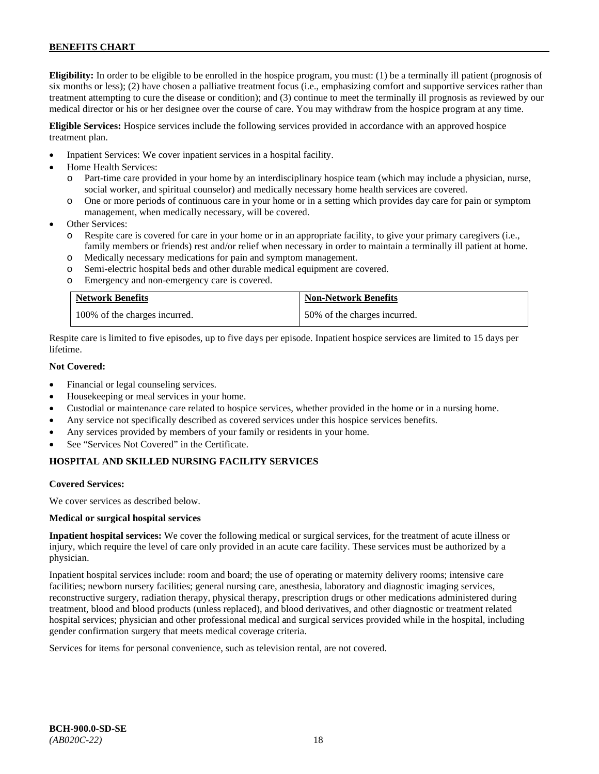**Eligibility:** In order to be eligible to be enrolled in the hospice program, you must: (1) be a terminally ill patient (prognosis of six months or less); (2) have chosen a palliative treatment focus (i.e., emphasizing comfort and supportive services rather than treatment attempting to cure the disease or condition); and (3) continue to meet the terminally ill prognosis as reviewed by our medical director or his or her designee over the course of care. You may withdraw from the hospice program at any time.

**Eligible Services:** Hospice services include the following services provided in accordance with an approved hospice treatment plan.

- Inpatient Services: We cover inpatient services in a hospital facility.
- Home Health Services:
	- o Part-time care provided in your home by an interdisciplinary hospice team (which may include a physician, nurse, social worker, and spiritual counselor) and medically necessary home health services are covered.
	- o One or more periods of continuous care in your home or in a setting which provides day care for pain or symptom management, when medically necessary, will be covered.
- Other Services:
	- o Respite care is covered for care in your home or in an appropriate facility, to give your primary caregivers (i.e., family members or friends) rest and/or relief when necessary in order to maintain a terminally ill patient at home*.*
	- o Medically necessary medications for pain and symptom management.
	- o Semi-electric hospital beds and other durable medical equipment are covered.
	- o Emergency and non-emergency care is covered.

| <b>Network Benefits</b>       | <b>Non-Network Benefits</b>  |
|-------------------------------|------------------------------|
| 100% of the charges incurred. | 50% of the charges incurred. |

Respite care is limited to five episodes, up to five days per episode. Inpatient hospice services are limited to 15 days per lifetime.

## **Not Covered:**

- Financial or legal counseling services.
- Housekeeping or meal services in your home.
- Custodial or maintenance care related to hospice services, whether provided in the home or in a nursing home.
- Any service not specifically described as covered services under this hospice services benefits.
- Any services provided by members of your family or residents in your home.
- See "Services Not Covered" in the Certificate.

## **HOSPITAL AND SKILLED NURSING FACILITY SERVICES**

#### **Covered Services:**

We cover services as described below.

#### **Medical or surgical hospital services**

**Inpatient hospital services:** We cover the following medical or surgical services, for the treatment of acute illness or injury, which require the level of care only provided in an acute care facility. These services must be authorized by a physician.

Inpatient hospital services include: room and board; the use of operating or maternity delivery rooms; intensive care facilities; newborn nursery facilities; general nursing care, anesthesia, laboratory and diagnostic imaging services, reconstructive surgery, radiation therapy, physical therapy, prescription drugs or other medications administered during treatment, blood and blood products (unless replaced), and blood derivatives, and other diagnostic or treatment related hospital services; physician and other professional medical and surgical services provided while in the hospital, including gender confirmation surgery that meets medical coverage criteria.

Services for items for personal convenience, such as television rental, are not covered.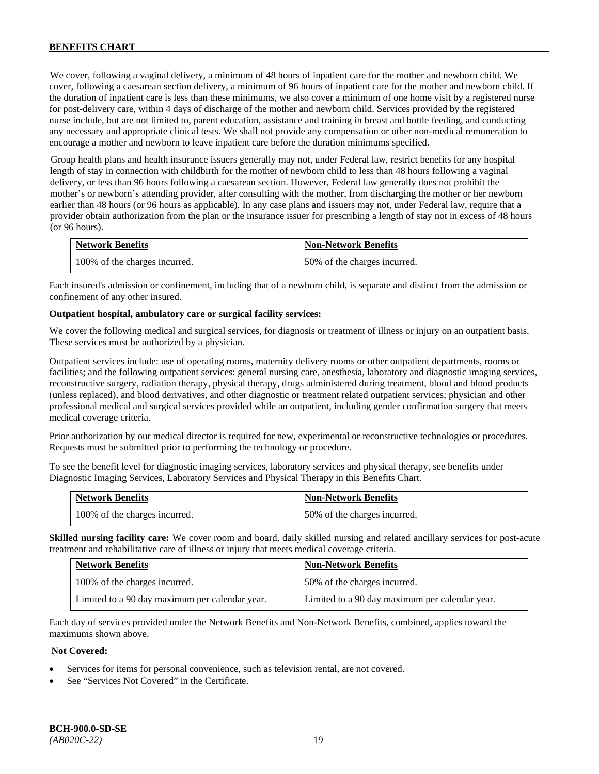We cover, following a vaginal delivery, a minimum of 48 hours of inpatient care for the mother and newborn child. We cover, following a caesarean section delivery, a minimum of 96 hours of inpatient care for the mother and newborn child. If the duration of inpatient care is less than these minimums, we also cover a minimum of one home visit by a registered nurse for post-delivery care, within 4 days of discharge of the mother and newborn child. Services provided by the registered nurse include, but are not limited to, parent education, assistance and training in breast and bottle feeding, and conducting any necessary and appropriate clinical tests. We shall not provide any compensation or other non-medical remuneration to encourage a mother and newborn to leave inpatient care before the duration minimums specified.

Group health plans and health insurance issuers generally may not, under Federal law, restrict benefits for any hospital length of stay in connection with childbirth for the mother of newborn child to less than 48 hours following a vaginal delivery, or less than 96 hours following a caesarean section. However, Federal law generally does not prohibit the mother's or newborn's attending provider, after consulting with the mother, from discharging the mother or her newborn earlier than 48 hours (or 96 hours as applicable). In any case plans and issuers may not, under Federal law, require that a provider obtain authorization from the plan or the insurance issuer for prescribing a length of stay not in excess of 48 hours (or 96 hours).

| <b>Network Benefits</b>       | <b>Non-Network Benefits</b>  |
|-------------------------------|------------------------------|
| 100% of the charges incurred. | 50% of the charges incurred. |

Each insured's admission or confinement, including that of a newborn child, is separate and distinct from the admission or confinement of any other insured.

#### **Outpatient hospital, ambulatory care or surgical facility services:**

We cover the following medical and surgical services, for diagnosis or treatment of illness or injury on an outpatient basis. These services must be authorized by a physician.

Outpatient services include: use of operating rooms, maternity delivery rooms or other outpatient departments, rooms or facilities; and the following outpatient services: general nursing care, anesthesia, laboratory and diagnostic imaging services, reconstructive surgery, radiation therapy, physical therapy, drugs administered during treatment, blood and blood products (unless replaced), and blood derivatives, and other diagnostic or treatment related outpatient services; physician and other professional medical and surgical services provided while an outpatient, including gender confirmation surgery that meets medical coverage criteria.

Prior authorization by our medical director is required for new, experimental or reconstructive technologies or procedures. Requests must be submitted prior to performing the technology or procedure.

To see the benefit level for diagnostic imaging services, laboratory services and physical therapy, see benefits under Diagnostic Imaging Services, Laboratory Services and Physical Therapy in this Benefits Chart.

| <b>Network Benefits</b>       | <b>Non-Network Benefits</b>  |
|-------------------------------|------------------------------|
| 100% of the charges incurred. | 50% of the charges incurred. |

**Skilled nursing facility care:** We cover room and board, daily skilled nursing and related ancillary services for post-acute treatment and rehabilitative care of illness or injury that meets medical coverage criteria.

| <b>Network Benefits</b>                        | <b>Non-Network Benefits</b>                    |
|------------------------------------------------|------------------------------------------------|
| 100% of the charges incurred.                  | 50% of the charges incurred.                   |
| Limited to a 90 day maximum per calendar year. | Limited to a 90 day maximum per calendar year. |

Each day of services provided under the Network Benefits and Non-Network Benefits, combined, applies toward the maximums shown above.

## **Not Covered:**

- Services for items for personal convenience, such as television rental, are not covered.
- See "Services Not Covered" in the Certificate.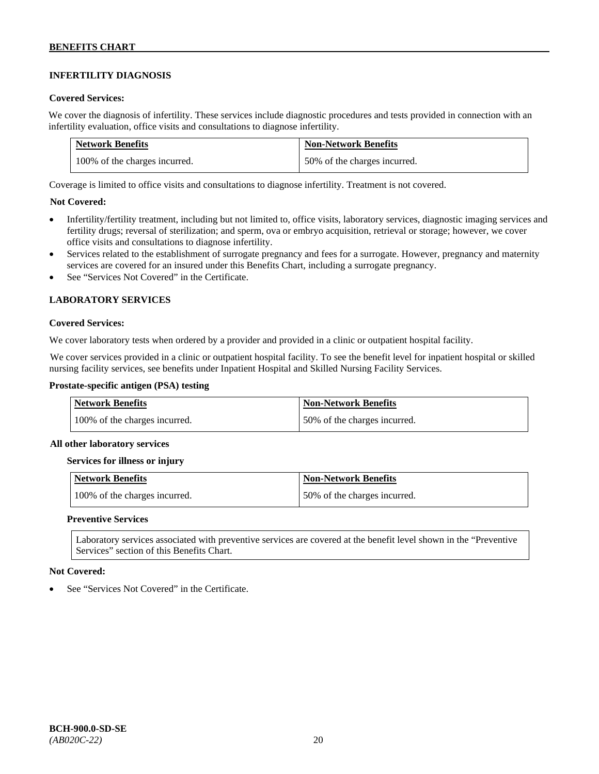# **INFERTILITY DIAGNOSIS**

## **Covered Services:**

We cover the diagnosis of infertility. These services include diagnostic procedures and tests provided in connection with an infertility evaluation, office visits and consultations to diagnose infertility.

| <b>Network Benefits</b>       | <b>Non-Network Benefits</b>  |
|-------------------------------|------------------------------|
| 100% of the charges incurred. | 50% of the charges incurred. |

Coverage is limited to office visits and consultations to diagnose infertility. Treatment is not covered.

## **Not Covered:**

- Infertility/fertility treatment, including but not limited to, office visits, laboratory services, diagnostic imaging services and fertility drugs; reversal of sterilization; and sperm, ova or embryo acquisition, retrieval or storage; however, we cover office visits and consultations to diagnose infertility.
- Services related to the establishment of surrogate pregnancy and fees for a surrogate. However, pregnancy and maternity services are covered for an insured under this Benefits Chart, including a surrogate pregnancy.
- See "Services Not Covered" in the Certificate.

## **LABORATORY SERVICES**

## **Covered Services:**

We cover laboratory tests when ordered by a provider and provided in a clinic or outpatient hospital facility.

We cover services provided in a clinic or outpatient hospital facility. To see the benefit level for inpatient hospital or skilled nursing facility services, see benefits under Inpatient Hospital and Skilled Nursing Facility Services.

## **Prostate-specific antigen (PSA) testing**

| <b>Network Benefits</b>       | <b>Non-Network Benefits</b>  |
|-------------------------------|------------------------------|
| 100% of the charges incurred. | 50% of the charges incurred. |

#### **All other laboratory services**

#### **Services for illness or injury**

| Network Benefits              | <b>Non-Network Benefits</b>  |
|-------------------------------|------------------------------|
| 100% of the charges incurred. | 50% of the charges incurred. |

#### **Preventive Services**

Laboratory services associated with preventive services are covered at the benefit level shown in the "Preventive Services" section of this Benefits Chart.

#### **Not Covered:**

See "Services Not Covered" in the Certificate.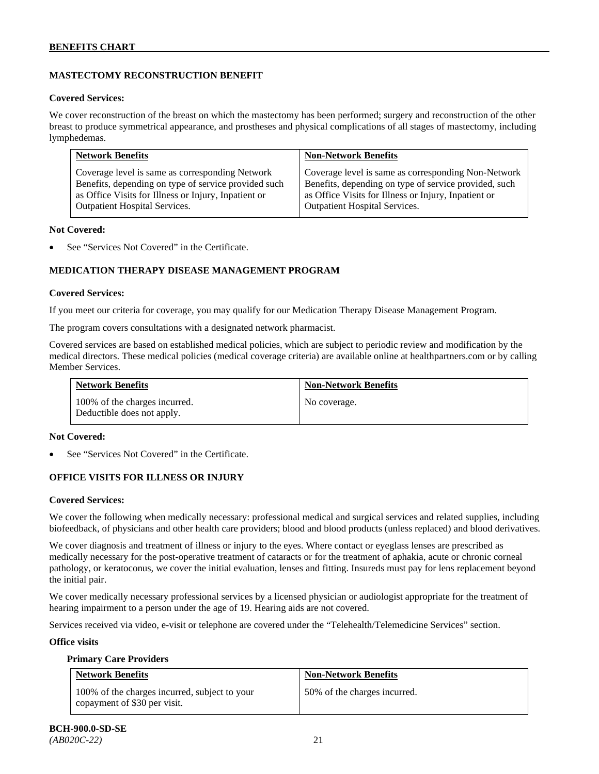# **MASTECTOMY RECONSTRUCTION BENEFIT**

#### **Covered Services:**

We cover reconstruction of the breast on which the mastectomy has been performed; surgery and reconstruction of the other breast to produce symmetrical appearance, and prostheses and physical complications of all stages of mastectomy, including lymphedemas.

| <b>Network Benefits</b>                              | <b>Non-Network Benefits</b>                           |
|------------------------------------------------------|-------------------------------------------------------|
| Coverage level is same as corresponding Network      | Coverage level is same as corresponding Non-Network   |
| Benefits, depending on type of service provided such | Benefits, depending on type of service provided, such |
| as Office Visits for Illness or Injury, Inpatient or | as Office Visits for Illness or Injury, Inpatient or  |
| Outpatient Hospital Services.                        | <b>Outpatient Hospital Services.</b>                  |

#### **Not Covered:**

See "Services Not Covered" in the Certificate.

# **MEDICATION THERAPY DISEASE MANAGEMENT PROGRAM**

## **Covered Services:**

If you meet our criteria for coverage, you may qualify for our Medication Therapy Disease Management Program.

The program covers consultations with a designated network pharmacist.

Covered services are based on established medical policies, which are subject to periodic review and modification by the medical directors. These medical policies (medical coverage criteria) are available online at [healthpartners.com](http://www.healthpartners.com/) or by calling Member Services.

| <b>Network Benefits</b>                                     | <b>Non-Network Benefits</b> |
|-------------------------------------------------------------|-----------------------------|
| 100% of the charges incurred.<br>Deductible does not apply. | No coverage.                |

#### **Not Covered:**

See "Services Not Covered" in the Certificate.

## **OFFICE VISITS FOR ILLNESS OR INJURY**

#### **Covered Services:**

We cover the following when medically necessary: professional medical and surgical services and related supplies, including biofeedback, of physicians and other health care providers; blood and blood products (unless replaced) and blood derivatives.

We cover diagnosis and treatment of illness or injury to the eyes. Where contact or eyeglass lenses are prescribed as medically necessary for the post-operative treatment of cataracts or for the treatment of aphakia, acute or chronic corneal pathology, or keratoconus, we cover the initial evaluation, lenses and fitting. Insureds must pay for lens replacement beyond the initial pair.

We cover medically necessary professional services by a licensed physician or audiologist appropriate for the treatment of hearing impairment to a person under the age of 19. Hearing aids are not covered.

Services received via video, e-visit or telephone are covered under the "Telehealth/Telemedicine Services" section.

#### **Office visits**

**Primary Care Providers**

| <b>Network Benefits</b>                                                       | <b>Non-Network Benefits</b>  |
|-------------------------------------------------------------------------------|------------------------------|
| 100% of the charges incurred, subject to your<br>copayment of \$30 per visit. | 50% of the charges incurred. |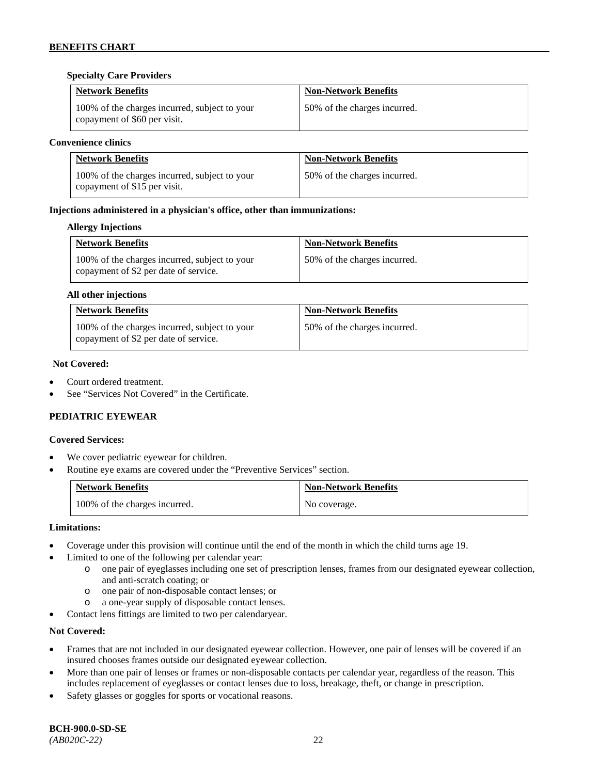## **Specialty Care Providers**

| <b>Network Benefits</b>                                                       | <b>Non-Network Benefits</b>  |
|-------------------------------------------------------------------------------|------------------------------|
| 100% of the charges incurred, subject to your<br>copayment of \$60 per visit. | 50% of the charges incurred. |

## **Convenience clinics**

| <b>Network Benefits</b>                                                       | <b>Non-Network Benefits</b>  |
|-------------------------------------------------------------------------------|------------------------------|
| 100% of the charges incurred, subject to your<br>copayment of \$15 per visit. | 50% of the charges incurred. |

## **Injections administered in a physician's office, other than immunizations:**

#### **Allergy Injections**

| <b>Network Benefits</b>                                                                | <b>Non-Network Benefits</b>  |
|----------------------------------------------------------------------------------------|------------------------------|
| 100% of the charges incurred, subject to your<br>copayment of \$2 per date of service. | 50% of the charges incurred. |

## **All other injections**

| <b>Network Benefits</b>                                                                | <b>Non-Network Benefits</b>  |
|----------------------------------------------------------------------------------------|------------------------------|
| 100% of the charges incurred, subject to your<br>copayment of \$2 per date of service. | 50% of the charges incurred. |

## **Not Covered:**

- Court ordered treatment.
- See "Services Not Covered" in the Certificate.

## **PEDIATRIC EYEWEAR**

#### **Covered Services:**

- We cover pediatric eyewear for children.
- Routine eye exams are covered under the "Preventive Services" section.

| <b>Network Benefits</b>       | <b>Non-Network Benefits</b> |
|-------------------------------|-----------------------------|
| 100% of the charges incurred. | No coverage.                |

## **Limitations:**

- Coverage under this provision will continue until the end of the month in which the child turns age 19.
- Limited to one of the following per calendar year:
	- o one pair of eyeglasses including one set of prescription lenses, frames from our designated eyewear collection, and anti-scratch coating; or
	- o one pair of non-disposable contact lenses; or
	- o a one-year supply of disposable contact lenses.
- Contact lens fittings are limited to two per calendaryear.

#### **Not Covered:**

- Frames that are not included in our designated eyewear collection. However, one pair of lenses will be covered if an insured chooses frames outside our designated eyewear collection.
- More than one pair of lenses or frames or non-disposable contacts per calendar year, regardless of the reason. This includes replacement of eyeglasses or contact lenses due to loss, breakage, theft, or change in prescription.
- Safety glasses or goggles for sports or vocational reasons.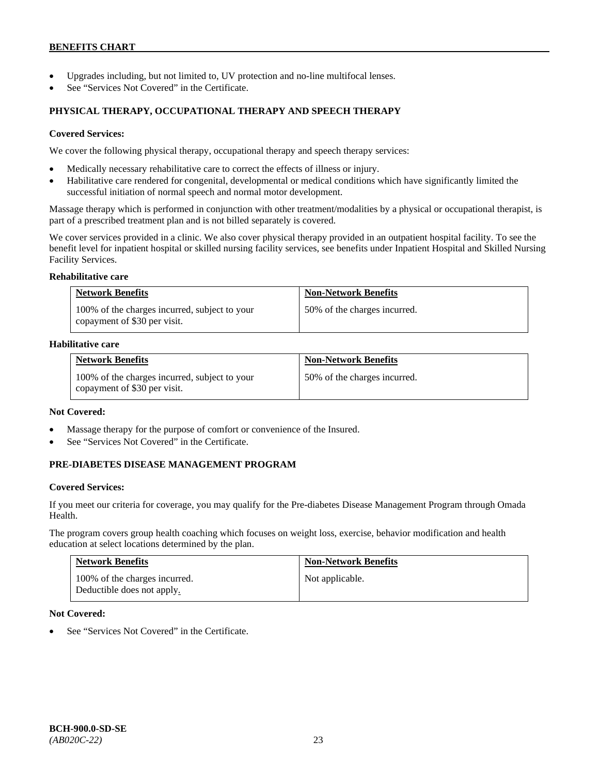- Upgrades including, but not limited to, UV protection and no-line multifocal lenses.
- See "Services Not Covered" in the Certificate.

## **PHYSICAL THERAPY, OCCUPATIONAL THERAPY AND SPEECH THERAPY**

#### **Covered Services:**

We cover the following physical therapy, occupational therapy and speech therapy services:

- Medically necessary rehabilitative care to correct the effects of illness or injury.
- Habilitative care rendered for congenital, developmental or medical conditions which have significantly limited the successful initiation of normal speech and normal motor development.

Massage therapy which is performed in conjunction with other treatment/modalities by a physical or occupational therapist, is part of a prescribed treatment plan and is not billed separately is covered.

We cover services provided in a clinic. We also cover physical therapy provided in an outpatient hospital facility. To see the benefit level for inpatient hospital or skilled nursing facility services, see benefits under Inpatient Hospital and Skilled Nursing Facility Services.

#### **Rehabilitative care**

| <b>Network Benefits</b>                                                       | <b>Non-Network Benefits</b>  |
|-------------------------------------------------------------------------------|------------------------------|
| 100% of the charges incurred, subject to your<br>copayment of \$30 per visit. | 50% of the charges incurred. |

## **Habilitative care**

| <b>Network Benefits</b>                                                       | <b>Non-Network Benefits</b>  |
|-------------------------------------------------------------------------------|------------------------------|
| 100% of the charges incurred, subject to your<br>copayment of \$30 per visit. | 50% of the charges incurred. |

#### **Not Covered:**

- Massage therapy for the purpose of comfort or convenience of the Insured.
- See "Services Not Covered" in the Certificate.

## **PRE-DIABETES DISEASE MANAGEMENT PROGRAM**

#### **Covered Services:**

If you meet our criteria for coverage, you may qualify for the Pre-diabetes Disease Management Program through Omada Health.

The program covers group health coaching which focuses on weight loss, exercise, behavior modification and health education at select locations determined by the plan.

| <b>Network Benefits</b>                                     | <b>Non-Network Benefits</b> |
|-------------------------------------------------------------|-----------------------------|
| 100% of the charges incurred.<br>Deductible does not apply. | Not applicable.             |

#### **Not Covered:**

See "Services Not Covered" in the Certificate.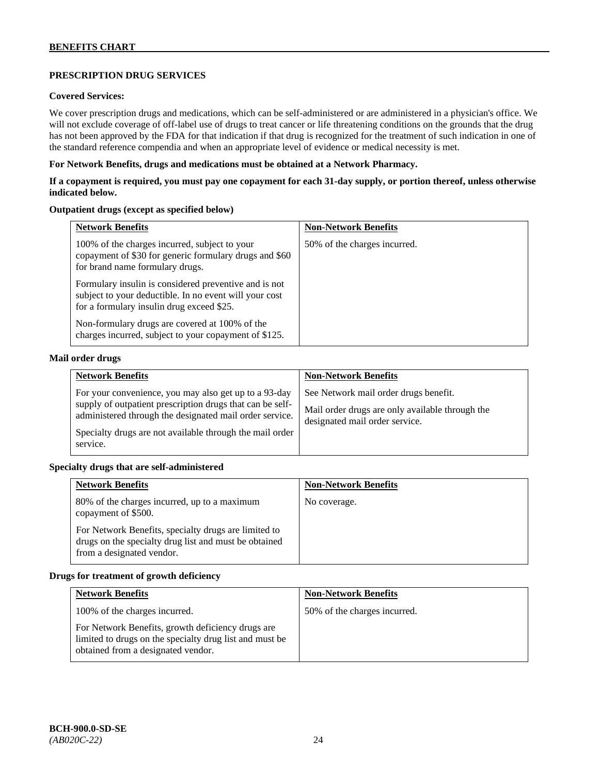# **PRESCRIPTION DRUG SERVICES**

# **Covered Services:**

We cover prescription drugs and medications, which can be self-administered or are administered in a physician's office. We will not exclude coverage of off-label use of drugs to treat cancer or life threatening conditions on the grounds that the drug has not been approved by the FDA for that indication if that drug is recognized for the treatment of such indication in one of the standard reference compendia and when an appropriate level of evidence or medical necessity is met.

## **For Network Benefits, drugs and medications must be obtained at a Network Pharmacy.**

## **If a copayment is required, you must pay one copayment for each 31-day supply, or portion thereof, unless otherwise indicated below.**

## **Outpatient drugs (except as specified below)**

| <b>Network Benefits</b>                                                                                                                                      | <b>Non-Network Benefits</b>  |
|--------------------------------------------------------------------------------------------------------------------------------------------------------------|------------------------------|
| 100% of the charges incurred, subject to your<br>copayment of \$30 for generic formulary drugs and \$60<br>for brand name formulary drugs.                   | 50% of the charges incurred. |
| Formulary insulin is considered preventive and is not<br>subject to your deductible. In no event will your cost<br>for a formulary insulin drug exceed \$25. |                              |
| Non-formulary drugs are covered at 100% of the<br>charges incurred, subject to your copayment of \$125.                                                      |                              |

## **Mail order drugs**

| <b>Network Benefits</b>                                                                                                                                                                                                                               | <b>Non-Network Benefits</b>                                                                                                |
|-------------------------------------------------------------------------------------------------------------------------------------------------------------------------------------------------------------------------------------------------------|----------------------------------------------------------------------------------------------------------------------------|
| For your convenience, you may also get up to a 93-day<br>supply of outpatient prescription drugs that can be self-<br>administered through the designated mail order service.<br>Specialty drugs are not available through the mail order<br>service. | See Network mail order drugs benefit.<br>Mail order drugs are only available through the<br>designated mail order service. |

#### **Specialty drugs that are self-administered**

| <b>Network Benefits</b>                                                                                                                    | <b>Non-Network Benefits</b> |
|--------------------------------------------------------------------------------------------------------------------------------------------|-----------------------------|
| 80% of the charges incurred, up to a maximum<br>copayment of \$500.                                                                        | No coverage.                |
| For Network Benefits, specialty drugs are limited to<br>drugs on the specialty drug list and must be obtained<br>from a designated vendor. |                             |

## **Drugs for treatment of growth deficiency**

| <b>Network Benefits</b>                                                                                                                            | <b>Non-Network Benefits</b>  |
|----------------------------------------------------------------------------------------------------------------------------------------------------|------------------------------|
| 100% of the charges incurred.                                                                                                                      | 50% of the charges incurred. |
| For Network Benefits, growth deficiency drugs are<br>limited to drugs on the specialty drug list and must be<br>obtained from a designated vendor. |                              |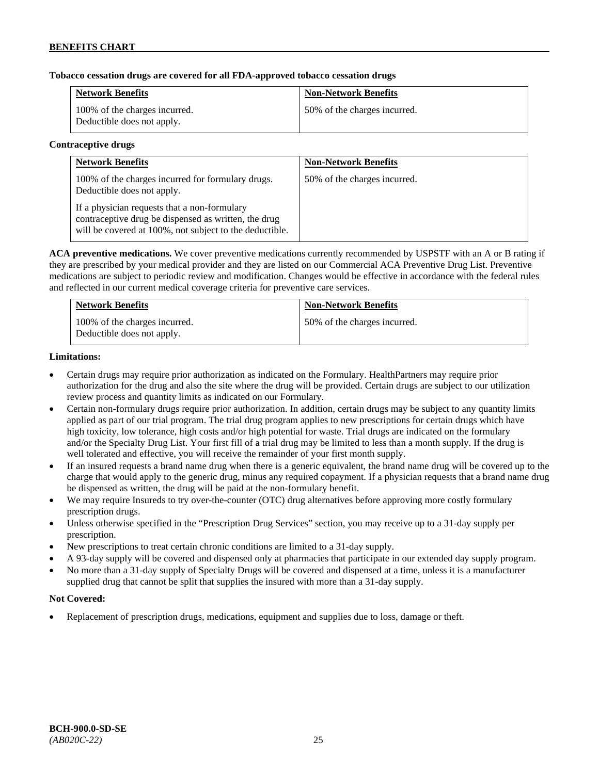## **Tobacco cessation drugs are covered for all FDA-approved tobacco cessation drugs**

| <b>Network Benefits</b>                                     | <b>Non-Network Benefits</b>  |
|-------------------------------------------------------------|------------------------------|
| 100% of the charges incurred.<br>Deductible does not apply. | 50% of the charges incurred. |

#### **Contraceptive drugs**

| <b>Network Benefits</b>                                                                                                                                         | <b>Non-Network Benefits</b>  |
|-----------------------------------------------------------------------------------------------------------------------------------------------------------------|------------------------------|
| 100% of the charges incurred for formulary drugs.<br>Deductible does not apply.                                                                                 | 50% of the charges incurred. |
| If a physician requests that a non-formulary<br>contraceptive drug be dispensed as written, the drug<br>will be covered at 100%, not subject to the deductible. |                              |

**ACA preventive medications.** We cover preventive medications currently recommended by USPSTF with an A or B rating if they are prescribed by your medical provider and they are listed on our Commercial ACA Preventive Drug List. Preventive medications are subject to periodic review and modification. Changes would be effective in accordance with the federal rules and reflected in our current medical coverage criteria for preventive care services.

| <b>Network Benefits</b>                                     | <b>Non-Network Benefits</b>  |
|-------------------------------------------------------------|------------------------------|
| 100% of the charges incurred.<br>Deductible does not apply. | 50% of the charges incurred. |

## **Limitations:**

- Certain drugs may require prior authorization as indicated on the Formulary. HealthPartners may require prior authorization for the drug and also the site where the drug will be provided. Certain drugs are subject to our utilization review process and quantity limits as indicated on our Formulary.
- Certain non-formulary drugs require prior authorization. In addition, certain drugs may be subject to any quantity limits applied as part of our trial program. The trial drug program applies to new prescriptions for certain drugs which have high toxicity, low tolerance, high costs and/or high potential for waste. Trial drugs are indicated on the formulary and/or the Specialty Drug List. Your first fill of a trial drug may be limited to less than a month supply. If the drug is well tolerated and effective, you will receive the remainder of your first month supply.
- If an insured requests a brand name drug when there is a generic equivalent, the brand name drug will be covered up to the charge that would apply to the generic drug, minus any required copayment. If a physician requests that a brand name drug be dispensed as written, the drug will be paid at the non-formulary benefit.
- We may require Insureds to try over-the-counter (OTC) drug alternatives before approving more costly formulary prescription drugs.
- Unless otherwise specified in the "Prescription Drug Services" section, you may receive up to a 31-day supply per prescription.
- New prescriptions to treat certain chronic conditions are limited to a 31-day supply.
- A 93-day supply will be covered and dispensed only at pharmacies that participate in our extended day supply program.
- No more than a 31-day supply of Specialty Drugs will be covered and dispensed at a time, unless it is a manufacturer supplied drug that cannot be split that supplies the insured with more than a 31-day supply.

## **Not Covered:**

• Replacement of prescription drugs, medications, equipment and supplies due to loss, damage or theft.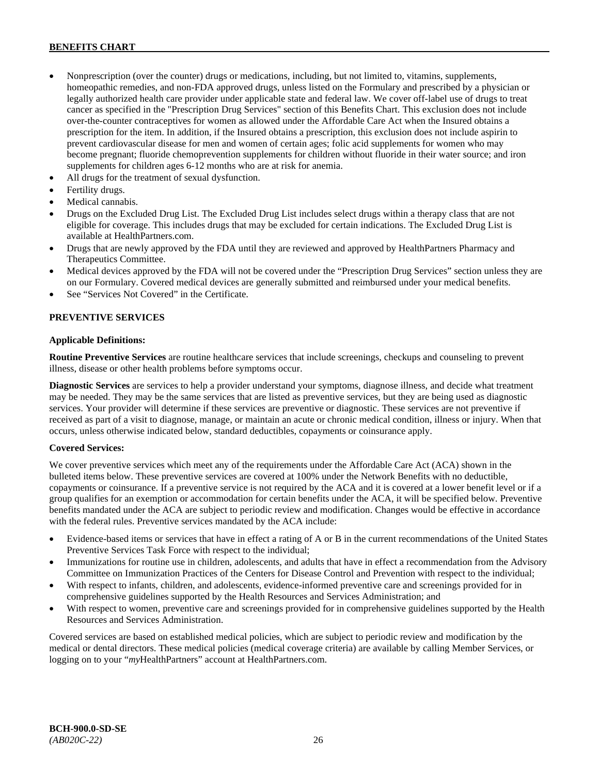- Nonprescription (over the counter) drugs or medications, including, but not limited to, vitamins, supplements, homeopathic remedies, and non-FDA approved drugs, unless listed on the Formulary and prescribed by a physician or legally authorized health care provider under applicable state and federal law. We cover off-label use of drugs to treat cancer as specified in the "Prescription Drug Services" section of this Benefits Chart. This exclusion does not include over-the-counter contraceptives for women as allowed under the Affordable Care Act when the Insured obtains a prescription for the item. In addition, if the Insured obtains a prescription, this exclusion does not include aspirin to prevent cardiovascular disease for men and women of certain ages; folic acid supplements for women who may become pregnant; fluoride chemoprevention supplements for children without fluoride in their water source; and iron supplements for children ages 6-12 months who are at risk for anemia.
- All drugs for the treatment of sexual dysfunction.
- Fertility drugs.
- Medical cannabis.
- Drugs on the Excluded Drug List. The Excluded Drug List includes select drugs within a therapy class that are not eligible for coverage. This includes drugs that may be excluded for certain indications. The Excluded Drug List is available a[t HealthPartners.com.](http://www.healthpartners.com/)
- Drugs that are newly approved by the FDA until they are reviewed and approved by HealthPartners Pharmacy and Therapeutics Committee.
- Medical devices approved by the FDA will not be covered under the "Prescription Drug Services" section unless they are on our Formulary. Covered medical devices are generally submitted and reimbursed under your medical benefits.
- See "Services Not Covered" in the Certificate.

## **PREVENTIVE SERVICES**

#### **Applicable Definitions:**

**Routine Preventive Services** are routine healthcare services that include screenings, checkups and counseling to prevent illness, disease or other health problems before symptoms occur.

**Diagnostic Services** are services to help a provider understand your symptoms, diagnose illness, and decide what treatment may be needed. They may be the same services that are listed as preventive services, but they are being used as diagnostic services. Your provider will determine if these services are preventive or diagnostic. These services are not preventive if received as part of a visit to diagnose, manage, or maintain an acute or chronic medical condition, illness or injury. When that occurs, unless otherwise indicated below, standard deductibles, copayments or coinsurance apply.

#### **Covered Services:**

We cover preventive services which meet any of the requirements under the Affordable Care Act (ACA) shown in the bulleted items below. These preventive services are covered at 100% under the Network Benefits with no deductible, copayments or coinsurance. If a preventive service is not required by the ACA and it is covered at a lower benefit level or if a group qualifies for an exemption or accommodation for certain benefits under the ACA, it will be specified below. Preventive benefits mandated under the ACA are subject to periodic review and modification. Changes would be effective in accordance with the federal rules. Preventive services mandated by the ACA include:

- Evidence-based items or services that have in effect a rating of A or B in the current recommendations of the United States Preventive Services Task Force with respect to the individual;
- Immunizations for routine use in children, adolescents, and adults that have in effect a recommendation from the Advisory Committee on Immunization Practices of the Centers for Disease Control and Prevention with respect to the individual;
- With respect to infants, children, and adolescents, evidence-informed preventive care and screenings provided for in comprehensive guidelines supported by the Health Resources and Services Administration; and
- With respect to women, preventive care and screenings provided for in comprehensive guidelines supported by the Health Resources and Services Administration.

Covered services are based on established medical policies, which are subject to periodic review and modification by the medical or dental directors. These medical policies (medical coverage criteria) are available by calling Member Services, or logging on to your "*my*HealthPartners" account at [HealthPartners.com.](http://www.healthpartners.com/)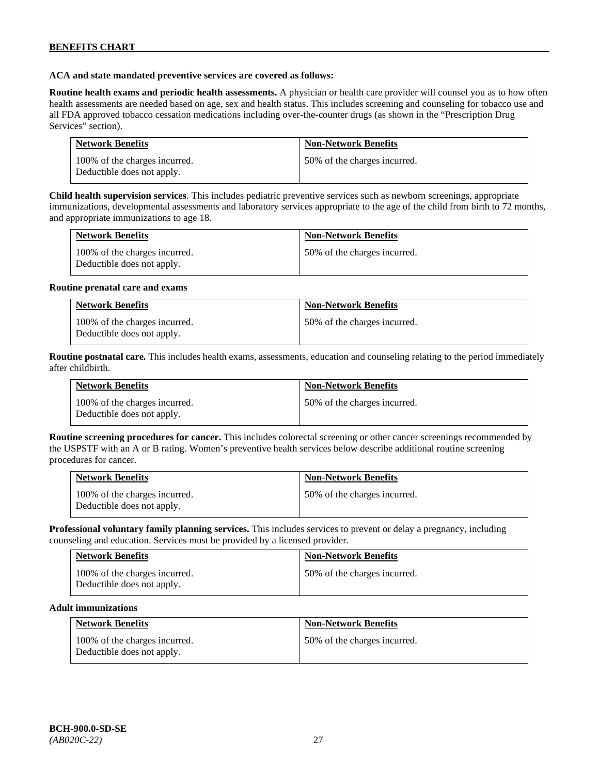## **ACA and state mandated preventive services are covered as follows:**

**Routine health exams and periodic health assessments.** A physician or health care provider will counsel you as to how often health assessments are needed based on age, sex and health status. This includes screening and counseling for tobacco use and all FDA approved tobacco cessation medications including over-the-counter drugs (as shown in the "Prescription Drug Services" section).

| <b>Network Benefits</b>                                     | <b>Non-Network Benefits</b>  |
|-------------------------------------------------------------|------------------------------|
| 100% of the charges incurred.<br>Deductible does not apply. | 50% of the charges incurred. |

**Child health supervision services**. This includes pediatric preventive services such as newborn screenings, appropriate immunizations, developmental assessments and laboratory services appropriate to the age of the child from birth to 72 months, and appropriate immunizations to age 18.

| <b>Network Benefits</b>                                     | <b>Non-Network Benefits</b>  |
|-------------------------------------------------------------|------------------------------|
| 100% of the charges incurred.<br>Deductible does not apply. | 50% of the charges incurred. |

#### **Routine prenatal care and exams**

| <b>Network Benefits</b>                                     | <b>Non-Network Benefits</b>  |
|-------------------------------------------------------------|------------------------------|
| 100% of the charges incurred.<br>Deductible does not apply. | 50% of the charges incurred. |

**Routine postnatal care.** This includes health exams, assessments, education and counseling relating to the period immediately after childbirth.

| <b>Network Benefits</b>                                     | <b>Non-Network Benefits</b>  |
|-------------------------------------------------------------|------------------------------|
| 100% of the charges incurred.<br>Deductible does not apply. | 50% of the charges incurred. |

**Routine screening procedures for cancer.** This includes colorectal screening or other cancer screenings recommended by the USPSTF with an A or B rating. Women's preventive health services below describe additional routine screening procedures for cancer.

| <b>Network Benefits</b>                                     | <b>Non-Network Benefits</b>  |
|-------------------------------------------------------------|------------------------------|
| 100% of the charges incurred.<br>Deductible does not apply. | 50% of the charges incurred. |

**Professional voluntary family planning services.** This includes services to prevent or delay a pregnancy, including counseling and education. Services must be provided by a licensed provider.

| <b>Network Benefits</b>                                     | <b>Non-Network Benefits</b>  |
|-------------------------------------------------------------|------------------------------|
| 100% of the charges incurred.<br>Deductible does not apply. | 50% of the charges incurred. |

#### **Adult immunizations**

| <b>Network Benefits</b>                                     | <b>Non-Network Benefits</b>  |
|-------------------------------------------------------------|------------------------------|
| 100% of the charges incurred.<br>Deductible does not apply. | 50% of the charges incurred. |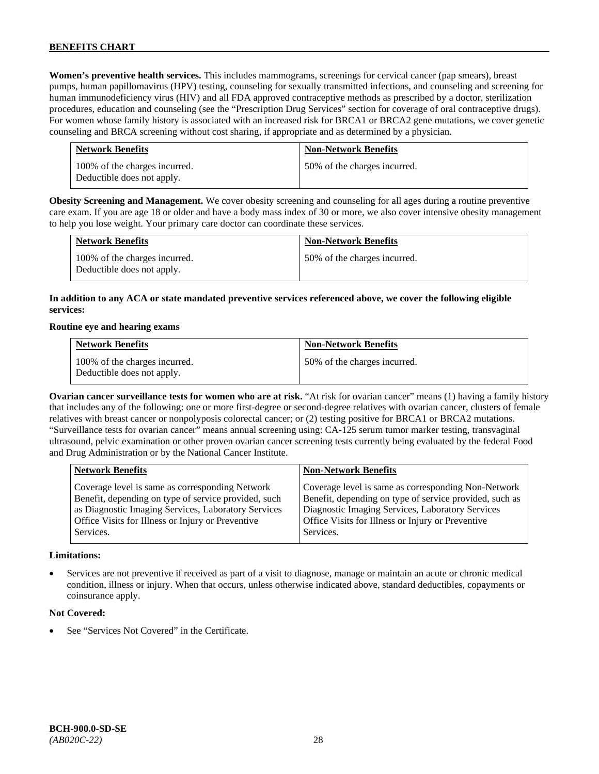**Women's preventive health services.** This includes mammograms, screenings for cervical cancer (pap smears), breast pumps, human papillomavirus (HPV) testing, counseling for sexually transmitted infections, and counseling and screening for human immunodeficiency virus (HIV) and all FDA approved contraceptive methods as prescribed by a doctor, sterilization procedures, education and counseling (see the "Prescription Drug Services" section for coverage of oral contraceptive drugs). For women whose family history is associated with an increased risk for BRCA1 or BRCA2 gene mutations, we cover genetic counseling and BRCA screening without cost sharing, if appropriate and as determined by a physician.

| <b>Network Benefits</b>                                     | <b>Non-Network Benefits</b>  |
|-------------------------------------------------------------|------------------------------|
| 100% of the charges incurred.<br>Deductible does not apply. | 50% of the charges incurred. |

**Obesity Screening and Management.** We cover obesity screening and counseling for all ages during a routine preventive care exam. If you are age 18 or older and have a body mass index of 30 or more, we also cover intensive obesity management to help you lose weight. Your primary care doctor can coordinate these services.

| <b>Network Benefits</b>                                     | <b>Non-Network Benefits</b>  |
|-------------------------------------------------------------|------------------------------|
| 100% of the charges incurred.<br>Deductible does not apply. | 50% of the charges incurred. |

## **In addition to any ACA or state mandated preventive services referenced above, we cover the following eligible services:**

#### **Routine eye and hearing exams**

| <b>Network Benefits</b>                                     | <b>Non-Network Benefits</b>  |
|-------------------------------------------------------------|------------------------------|
| 100% of the charges incurred.<br>Deductible does not apply. | 50% of the charges incurred. |

**Ovarian cancer surveillance tests for women who are at risk.** "At risk for ovarian cancer" means (1) having a family history that includes any of the following: one or more first-degree or second-degree relatives with ovarian cancer, clusters of female relatives with breast cancer or nonpolyposis colorectal cancer; or (2) testing positive for BRCA1 or BRCA2 mutations. "Surveillance tests for ovarian cancer" means annual screening using: CA-125 serum tumor marker testing, transvaginal ultrasound, pelvic examination or other proven ovarian cancer screening tests currently being evaluated by the federal Food and Drug Administration or by the National Cancer Institute.

| <b>Network Benefits</b>                                                                                                                                                                                                          | <b>Non-Network Benefits</b>                                                                                                                                                                                                          |
|----------------------------------------------------------------------------------------------------------------------------------------------------------------------------------------------------------------------------------|--------------------------------------------------------------------------------------------------------------------------------------------------------------------------------------------------------------------------------------|
| Coverage level is same as corresponding Network<br>Benefit, depending on type of service provided, such<br>as Diagnostic Imaging Services, Laboratory Services<br>Office Visits for Illness or Injury or Preventive<br>Services. | Coverage level is same as corresponding Non-Network<br>Benefit, depending on type of service provided, such as<br>Diagnostic Imaging Services, Laboratory Services<br>Office Visits for Illness or Injury or Preventive<br>Services. |
|                                                                                                                                                                                                                                  |                                                                                                                                                                                                                                      |

#### **Limitations:**

• Services are not preventive if received as part of a visit to diagnose, manage or maintain an acute or chronic medical condition, illness or injury. When that occurs, unless otherwise indicated above, standard deductibles, copayments or coinsurance apply.

#### **Not Covered:**

See "Services Not Covered" in the Certificate.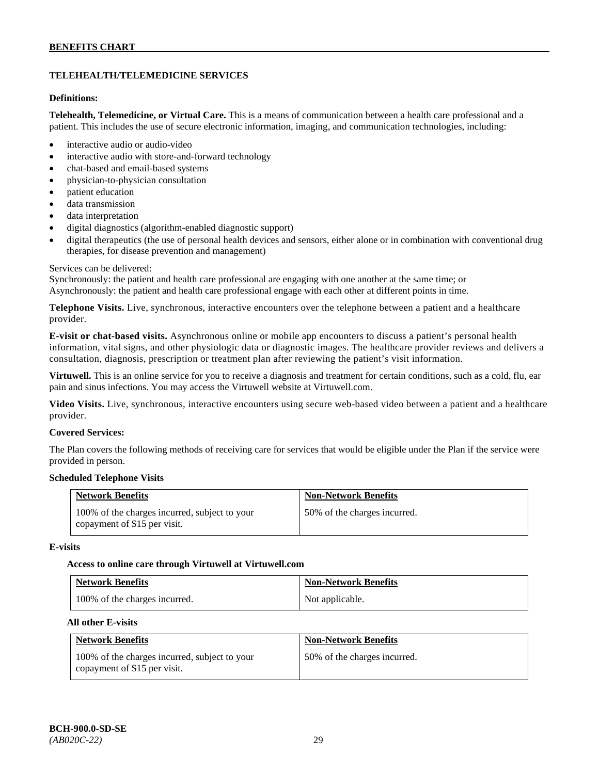# **TELEHEALTH/TELEMEDICINE SERVICES**

## **Definitions:**

**Telehealth, Telemedicine, or Virtual Care.** This is a means of communication between a health care professional and a patient. This includes the use of secure electronic information, imaging, and communication technologies, including:

- interactive audio or audio-video
- interactive audio with store-and-forward technology
- chat-based and email-based systems
- physician-to-physician consultation
- patient education
- data transmission
- data interpretation
- digital diagnostics (algorithm-enabled diagnostic support)
- digital therapeutics (the use of personal health devices and sensors, either alone or in combination with conventional drug therapies, for disease prevention and management)

#### Services can be delivered:

Synchronously: the patient and health care professional are engaging with one another at the same time; or Asynchronously: the patient and health care professional engage with each other at different points in time.

**Telephone Visits.** Live, synchronous, interactive encounters over the telephone between a patient and a healthcare provider.

**E-visit or chat-based visits.** Asynchronous online or mobile app encounters to discuss a patient's personal health information, vital signs, and other physiologic data or diagnostic images. The healthcare provider reviews and delivers a consultation, diagnosis, prescription or treatment plan after reviewing the patient's visit information.

**Virtuwell.** This is an online service for you to receive a diagnosis and treatment for certain conditions, such as a cold, flu, ear pain and sinus infections. You may access the Virtuwell website at [Virtuwell.com.](https://www.virtuwell.com/)

**Video Visits.** Live, synchronous, interactive encounters using secure web-based video between a patient and a healthcare provider.

#### **Covered Services:**

The Plan covers the following methods of receiving care for services that would be eligible under the Plan if the service were provided in person.

#### **Scheduled Telephone Visits**

| <b>Network Benefits</b>                                                       | <b>Non-Network Benefits</b>  |
|-------------------------------------------------------------------------------|------------------------------|
| 100% of the charges incurred, subject to your<br>copayment of \$15 per visit. | 50% of the charges incurred. |

#### **E-visits**

#### **Access to online care through Virtuwell at [Virtuwell.com](http://www.virtuwell.com/)**

| <b>Network Benefits</b>       | <b>Non-Network Benefits</b> |
|-------------------------------|-----------------------------|
| 100% of the charges incurred. | Not applicable.             |

## **All other E-visits**

| <b>Network Benefits</b>                                                       | <b>Non-Network Benefits</b>  |
|-------------------------------------------------------------------------------|------------------------------|
| 100% of the charges incurred, subject to your<br>copayment of \$15 per visit. | 50% of the charges incurred. |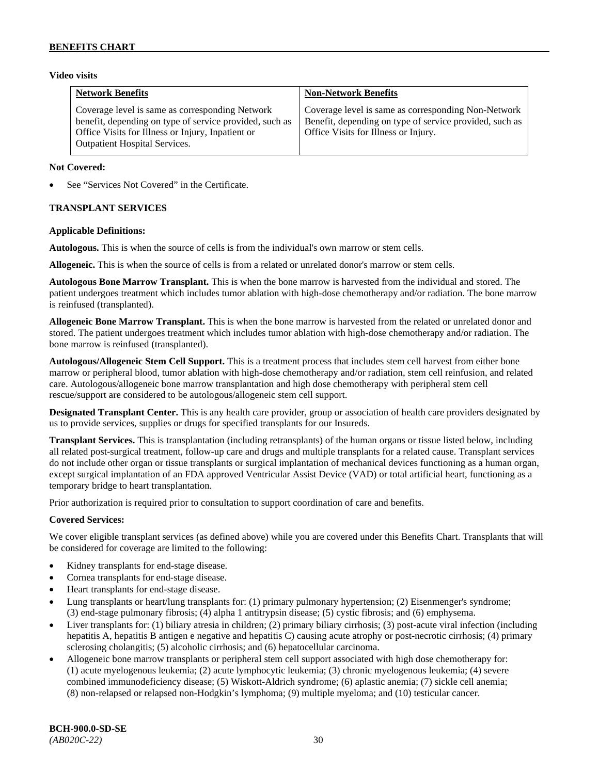## **Video visits**

| <b>Network Benefits</b>                                                                                                                                                                                 | <b>Non-Network Benefits</b>                                                                                                                            |
|---------------------------------------------------------------------------------------------------------------------------------------------------------------------------------------------------------|--------------------------------------------------------------------------------------------------------------------------------------------------------|
| Coverage level is same as corresponding Network<br>benefit, depending on type of service provided, such as<br>Office Visits for Illness or Injury, Inpatient or<br><b>Outpatient Hospital Services.</b> | Coverage level is same as corresponding Non-Network<br>Benefit, depending on type of service provided, such as<br>Office Visits for Illness or Injury. |

## **Not Covered:**

See "Services Not Covered" in the Certificate.

## **TRANSPLANT SERVICES**

## **Applicable Definitions:**

**Autologous.** This is when the source of cells is from the individual's own marrow or stem cells.

**Allogeneic.** This is when the source of cells is from a related or unrelated donor's marrow or stem cells.

**Autologous Bone Marrow Transplant.** This is when the bone marrow is harvested from the individual and stored. The patient undergoes treatment which includes tumor ablation with high-dose chemotherapy and/or radiation. The bone marrow is reinfused (transplanted).

**Allogeneic Bone Marrow Transplant.** This is when the bone marrow is harvested from the related or unrelated donor and stored. The patient undergoes treatment which includes tumor ablation with high-dose chemotherapy and/or radiation. The bone marrow is reinfused (transplanted).

**Autologous/Allogeneic Stem Cell Support.** This is a treatment process that includes stem cell harvest from either bone marrow or peripheral blood, tumor ablation with high-dose chemotherapy and/or radiation, stem cell reinfusion, and related care. Autologous/allogeneic bone marrow transplantation and high dose chemotherapy with peripheral stem cell rescue/support are considered to be autologous/allogeneic stem cell support.

**Designated Transplant Center.** This is any health care provider, group or association of health care providers designated by us to provide services, supplies or drugs for specified transplants for our Insureds.

**Transplant Services.** This is transplantation (including retransplants) of the human organs or tissue listed below, including all related post-surgical treatment, follow-up care and drugs and multiple transplants for a related cause. Transplant services do not include other organ or tissue transplants or surgical implantation of mechanical devices functioning as a human organ, except surgical implantation of an FDA approved Ventricular Assist Device (VAD) or total artificial heart, functioning as a temporary bridge to heart transplantation.

Prior authorization is required prior to consultation to support coordination of care and benefits.

## **Covered Services:**

We cover eligible transplant services (as defined above) while you are covered under this Benefits Chart. Transplants that will be considered for coverage are limited to the following:

- Kidney transplants for end-stage disease.
- Cornea transplants for end-stage disease.
- Heart transplants for end-stage disease.
- Lung transplants or heart/lung transplants for: (1) primary pulmonary hypertension; (2) Eisenmenger's syndrome; (3) end-stage pulmonary fibrosis; (4) alpha 1 antitrypsin disease; (5) cystic fibrosis; and (6) emphysema.
- Liver transplants for: (1) biliary atresia in children; (2) primary biliary cirrhosis; (3) post-acute viral infection (including hepatitis A, hepatitis B antigen e negative and hepatitis C) causing acute atrophy or post-necrotic cirrhosis; (4) primary sclerosing cholangitis; (5) alcoholic cirrhosis; and (6) hepatocellular carcinoma.
- Allogeneic bone marrow transplants or peripheral stem cell support associated with high dose chemotherapy for: (1) acute myelogenous leukemia; (2) acute lymphocytic leukemia; (3) chronic myelogenous leukemia; (4) severe combined immunodeficiency disease; (5) Wiskott-Aldrich syndrome; (6) aplastic anemia; (7) sickle cell anemia; (8) non-relapsed or relapsed non-Hodgkin's lymphoma; (9) multiple myeloma; and (10) testicular cancer.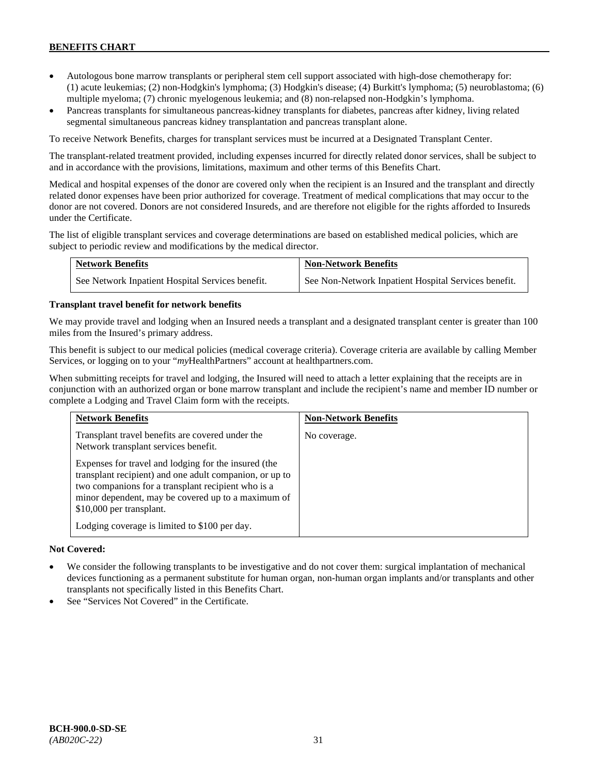- Autologous bone marrow transplants or peripheral stem cell support associated with high-dose chemotherapy for: (1) acute leukemias; (2) non-Hodgkin's lymphoma; (3) Hodgkin's disease; (4) Burkitt's lymphoma; (5) neuroblastoma; (6) multiple myeloma; (7) chronic myelogenous leukemia; and (8) non-relapsed non-Hodgkin's lymphoma.
- Pancreas transplants for simultaneous pancreas-kidney transplants for diabetes, pancreas after kidney, living related segmental simultaneous pancreas kidney transplantation and pancreas transplant alone.

To receive Network Benefits, charges for transplant services must be incurred at a Designated Transplant Center.

The transplant-related treatment provided, including expenses incurred for directly related donor services, shall be subject to and in accordance with the provisions, limitations, maximum and other terms of this Benefits Chart.

Medical and hospital expenses of the donor are covered only when the recipient is an Insured and the transplant and directly related donor expenses have been prior authorized for coverage. Treatment of medical complications that may occur to the donor are not covered. Donors are not considered Insureds, and are therefore not eligible for the rights afforded to Insureds under the Certificate.

The list of eligible transplant services and coverage determinations are based on established medical policies, which are subject to periodic review and modifications by the medical director.

| <b>Network Benefits</b>                          | <b>Non-Network Benefits</b>                          |
|--------------------------------------------------|------------------------------------------------------|
| See Network Inpatient Hospital Services benefit. | See Non-Network Inpatient Hospital Services benefit. |

## **Transplant travel benefit for network benefits**

We may provide travel and lodging when an Insured needs a transplant and a designated transplant center is greater than 100 miles from the Insured's primary address.

This benefit is subject to our medical policies (medical coverage criteria). Coverage criteria are available by calling Member Services, or logging on to your "*my*HealthPartners" account a[t healthpartners.com.](http://www.healthpartners.com/)

When submitting receipts for travel and lodging, the Insured will need to attach a letter explaining that the receipts are in conjunction with an authorized organ or bone marrow transplant and include the recipient's name and member ID number or complete a Lodging and Travel Claim form with the receipts.

| <b>Network Benefits</b>                                                                                                                                                                                                                                 | <b>Non-Network Benefits</b> |
|---------------------------------------------------------------------------------------------------------------------------------------------------------------------------------------------------------------------------------------------------------|-----------------------------|
| Transplant travel benefits are covered under the<br>Network transplant services benefit.                                                                                                                                                                | No coverage.                |
| Expenses for travel and lodging for the insured (the<br>transplant recipient) and one adult companion, or up to<br>two companions for a transplant recipient who is a<br>minor dependent, may be covered up to a maximum of<br>\$10,000 per transplant. |                             |
| Lodging coverage is limited to \$100 per day.                                                                                                                                                                                                           |                             |

## **Not Covered:**

- We consider the following transplants to be investigative and do not cover them: surgical implantation of mechanical devices functioning as a permanent substitute for human organ, non-human organ implants and/or transplants and other transplants not specifically listed in this Benefits Chart.
- See "Services Not Covered" in the Certificate.